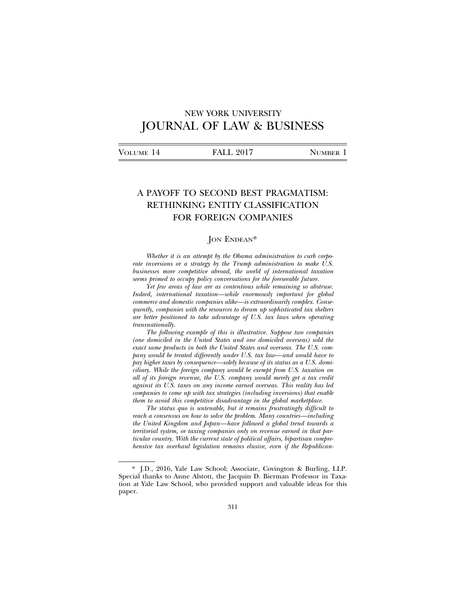# NEW YORK UNIVERSITY JOURNAL OF LAW & BUSINESS

| VOLUME 14 | <b>FALL 2017</b> | <b>NUMBER</b> |
|-----------|------------------|---------------|
|           |                  |               |

# A PAYOFF TO SECOND BEST PRAGMATISM: RETHINKING ENTITY CLASSIFICATION FOR FOREIGN COMPANIES

## JON ENDEAN\*

*Whether it is an attempt by the Obama administration to curb corporate inversions or a strategy by the Trump administration to make U.S. businesses more competitive abroad, the world of international taxation seems primed to occupy policy conversations for the foreseeable future.*

*Yet few areas of law are as contentious while remaining so abstruse. Indeed, international taxation—while enormously important for global commerce and domestic companies alike—is extraordinarily complex. Consequently, companies with the resources to dream up sophisticated tax shelters are better positioned to take advantage of U.S. tax laws when operating transnationally.*

*The following example of this is illustrative. Suppose two companies (one domiciled in the United States and one domiciled overseas) sold the exact same products in both the United States and overseas. The U.S. company would be treated differently under U.S. tax law—and would have to pay higher taxes by consequence—solely because of its status as a U.S. domiciliary. While the foreign company would be exempt from U.S. taxation on all of its foreign revenue, the U.S. company would merely get a tax credit against its U.S. taxes on any income earned overseas. This reality has led companies to come up with tax strategies (including inversions) that enable them to avoid this competitive disadvantage in the global marketplace.*

*The status quo is untenable, but it remains frustratingly difficult to reach a consensus on how to solve the problem. Many countries—including the United Kingdom and Japan—have followed a global trend towards a territorial system, or taxing companies only on revenue earned in that particular country. With the current state of political affairs, bipartisan comprehensive tax overhaul legislation remains elusive, even if the Republican-*

<sup>\*</sup> J.D., 2016, Yale Law School; Associate, Covington & Burling, LLP. Special thanks to Anne Alstott, the Jacquin D. Bierman Professor in Taxation at Yale Law School, who provided support and valuable ideas for this paper.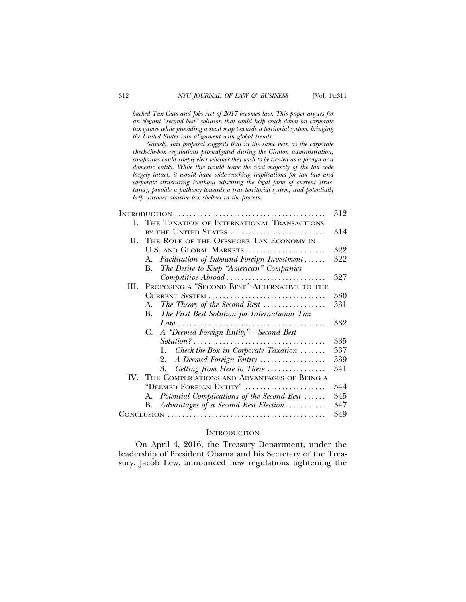*backed Tax Cuts and Jobs Act of 2017 becomes law. This paper argues for an elegant "second best" solution that could help crack down on corporate tax games while providing a road map towards a territorial system, bringing the United States into alignment with global trends.*

*Namely, this proposal suggests that in the same vein as the corporate check-the-box regulations promulgated during the Clinton administration, companies could simply elect whether they wish to be treated as a foreign or a domestic entity. While this would leave the vast majority of the tax code largely intact, it would have wide-reaching implications for tax law and corporate structuring (without upsetting the legal form of current structures), provide a pathway towards a true territorial system, and potentially help uncover abusive tax shelters in the process.*

|      |                                                              | 312 |  |
|------|--------------------------------------------------------------|-----|--|
| L.   | THE TAXATION OF INTERNATIONAL TRANSACTIONS                   |     |  |
|      | BY THE UNITED STATES                                         | 314 |  |
| H.   | THE ROLE OF THE OFFSHORE TAX ECONOMY IN                      |     |  |
|      | U.S. AND GLOBAL MARKETS                                      | 322 |  |
|      | Facilitation of Inbound Foreign Investment<br>А.             | 322 |  |
|      | The Desire to Keep "American" Companies<br>В.                |     |  |
|      | Competitive Abroad                                           | 327 |  |
| III. | PROPOSING A "SECOND BEST" ALTERNATIVE TO THE                 |     |  |
|      | CURRENT SYSTEM                                               | 330 |  |
|      | The Theory of the Second Best $\ldots$<br>А.                 | 331 |  |
|      | The First Best Solution for International Tax<br>В.          |     |  |
|      |                                                              | 332 |  |
|      | A "Deemed Foreign Entity"—Second Best<br>C.                  |     |  |
|      |                                                              | 335 |  |
|      | $Check$ -the-Box in Corporate Taxation $\ldots \ldots$<br>1. | 337 |  |
|      | A Deemed Foreign Entity<br>2.                                | 339 |  |
|      | Getting from Here to There<br>3.                             | 341 |  |
|      | IV. THE COMPLICATIONS AND ADVANTAGES OF BEING A              |     |  |
|      | "DEEMED FOREIGN ENTITY"                                      | 344 |  |
|      | Potential Complications of the Second Best<br>А.             | 345 |  |
|      | Advantages of a Second Best Election<br>В.                   | 347 |  |
|      |                                                              | 349 |  |

## **INTRODUCTION**

On April 4, 2016, the Treasury Department, under the leadership of President Obama and his Secretary of the Treasury, Jacob Lew, announced new regulations tightening the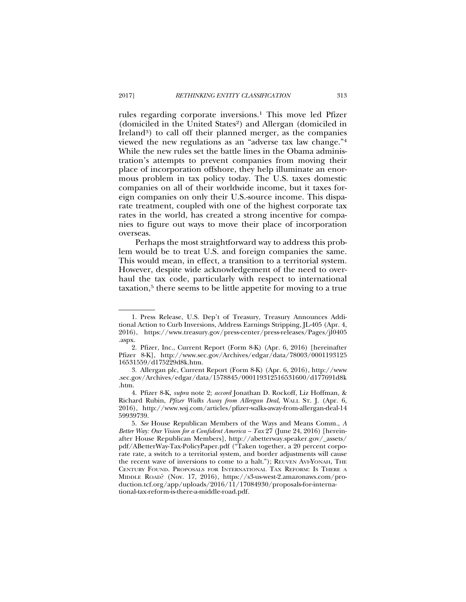rules regarding corporate inversions.1 This move led Pfizer (domiciled in the United States<sup>2</sup>) and Allergan (domiciled in Ireland<sup>3</sup>) to call off their planned merger, as the companies viewed the new regulations as an "adverse tax law change."4 While the new rules set the battle lines in the Obama administration's attempts to prevent companies from moving their place of incorporation offshore, they help illuminate an enormous problem in tax policy today. The U.S. taxes domestic companies on all of their worldwide income, but it taxes foreign companies on only their U.S.-source income. This disparate treatment, coupled with one of the highest corporate tax rates in the world, has created a strong incentive for companies to figure out ways to move their place of incorporation overseas.

Perhaps the most straightforward way to address this problem would be to treat U.S. and foreign companies the same. This would mean, in effect, a transition to a territorial system. However, despite wide acknowledgement of the need to overhaul the tax code, particularly with respect to international taxation,<sup>5</sup> there seems to be little appetite for moving to a true

<sup>1.</sup> Press Release, U.S. Dep't of Treasury, Treasury Announces Additional Action to Curb Inversions, Address Earnings Stripping, JL-405 (Apr. 4, 2016), https://www.treasury.gov/press-center/press-releases/Pages/jl0405 .aspx.

<sup>2.</sup> Pfizer, Inc., Current Report (Form 8-K) (Apr. 6, 2016) [hereinafter Pfizer 8-K], http://www.sec.gov/Archives/edgar/data/78003/0001193125 16531559/d175229d8k.htm.

<sup>3.</sup> Allergan plc, Current Report (Form 8-K) (Apr. 6, 2016), http://www .sec.gov/Archives/edgar/data/1578845/000119312516531600/d177691d8k .htm.

<sup>4.</sup> Pfizer 8-K, *supra* note 2; *accord* Jonathan D. Rockoff, Liz Hoffman, & Richard Rubin, *Pfizer Walks Away from Allergan Deal*, WALL ST. J. (Apr. 6, 2016), http://www.wsj.com/articles/pfizer-walks-away-from-allergan-deal-14 59939739.

<sup>5.</sup> *See* House Republican Members of the Ways and Means Comm., *A Better Way: Our Vision for a Confident America – Tax* 27 (June 24, 2016) [hereinafter House Republican Members], http://abetterway.speaker.gov/\_assets/ pdf/ABetterWay-Tax-PolicyPaper.pdf ("Taken together, a 20 percent corporate rate, a switch to a territorial system, and border adjustments will cause the recent wave of inversions to come to a halt."); REUVEN AVI-YONAH, THE CENTURY FOUND. PROPOSALS FOR INTERNATIONAL TAX REFORM: IS THERE A MIDDLE ROAD? (Nov. 17, 2016), https://s3-us-west-2.amazonaws.com/production.tcf.org/app/uploads/2016/11/17084930/proposals-for-international-tax-reform-is-there-a-middle-road.pdf.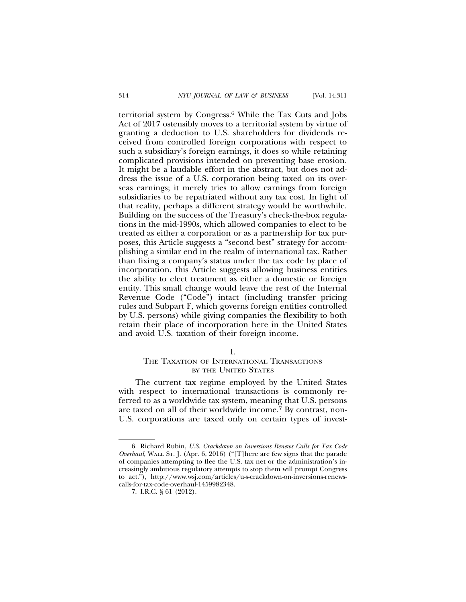territorial system by Congress.6 While the Tax Cuts and Jobs Act of 2017 ostensibly moves to a territorial system by virtue of granting a deduction to U.S. shareholders for dividends received from controlled foreign corporations with respect to such a subsidiary's foreign earnings, it does so while retaining complicated provisions intended on preventing base erosion. It might be a laudable effort in the abstract, but does not address the issue of a U.S. corporation being taxed on its overseas earnings; it merely tries to allow earnings from foreign subsidiaries to be repatriated without any tax cost. In light of that reality, perhaps a different strategy would be worthwhile. Building on the success of the Treasury's check-the-box regulations in the mid-1990s, which allowed companies to elect to be treated as either a corporation or as a partnership for tax purposes, this Article suggests a "second best" strategy for accomplishing a similar end in the realm of international tax. Rather than fixing a company's status under the tax code by place of incorporation, this Article suggests allowing business entities the ability to elect treatment as either a domestic or foreign entity. This small change would leave the rest of the Internal Revenue Code ("Code") intact (including transfer pricing rules and Subpart F, which governs foreign entities controlled by U.S. persons) while giving companies the flexibility to both retain their place of incorporation here in the United States and avoid U.S. taxation of their foreign income.

## I.

# THE TAXATION OF INTERNATIONAL TRANSACTIONS BY THE UNITED STATES

The current tax regime employed by the United States with respect to international transactions is commonly referred to as a worldwide tax system, meaning that U.S. persons are taxed on all of their worldwide income.7 By contrast, non-U.S. corporations are taxed only on certain types of invest-

<sup>6.</sup> Richard Rubin, *U.S. Crackdown on Inversions Renews Calls for Tax Code Overhaul*, WALL ST. J. (Apr. 6, 2016) ("[T]here are few signs that the parade of companies attempting to flee the U.S. tax net or the administration's increasingly ambitious regulatory attempts to stop them will prompt Congress to act."), http://www.wsj.com/articles/u-s-crackdown-on-inversions-renewscalls-for-tax-code-overhaul-1459982348.

<sup>7.</sup> I.R.C. § 61 (2012).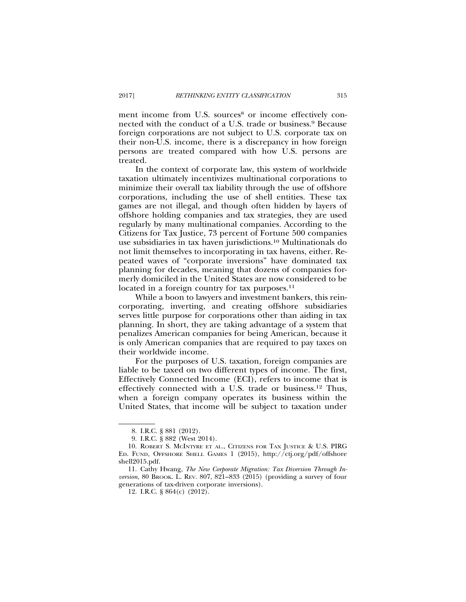ment income from U.S. sources<sup>8</sup> or income effectively connected with the conduct of a U.S. trade or business.9 Because foreign corporations are not subject to U.S. corporate tax on their non-U.S. income, there is a discrepancy in how foreign persons are treated compared with how U.S. persons are treated.

In the context of corporate law, this system of worldwide taxation ultimately incentivizes multinational corporations to minimize their overall tax liability through the use of offshore corporations, including the use of shell entities. These tax games are not illegal, and though often hidden by layers of offshore holding companies and tax strategies, they are used regularly by many multinational companies. According to the Citizens for Tax Justice, 73 percent of Fortune 500 companies use subsidiaries in tax haven jurisdictions.10 Multinationals do not limit themselves to incorporating in tax havens, either. Repeated waves of "corporate inversions" have dominated tax planning for decades, meaning that dozens of companies formerly domiciled in the United States are now considered to be located in a foreign country for tax purposes.<sup>11</sup>

While a boon to lawyers and investment bankers, this reincorporating, inverting, and creating offshore subsidiaries serves little purpose for corporations other than aiding in tax planning. In short, they are taking advantage of a system that penalizes American companies for being American, because it is only American companies that are required to pay taxes on their worldwide income.

For the purposes of U.S. taxation, foreign companies are liable to be taxed on two different types of income. The first, Effectively Connected Income (ECI), refers to income that is effectively connected with a U.S. trade or business.12 Thus, when a foreign company operates its business within the United States, that income will be subject to taxation under

<sup>8.</sup> I.R.C. § 881 (2012).

<sup>9.</sup> I.R.C. § 882 (West 2014).

<sup>10.</sup> ROBERT S. MCINTYRE ET AL., CITIZENS FOR TAX JUSTICE & U.S. PIRG ED. FUND, OFFSHORE SHELL GAMES 1 (2015), http://ctj.org/pdf/offshore shell2015.pdf.

<sup>11.</sup> Cathy Hwang, *The New Corporate Migration: Tax Diversion Through Inversion*, 80 BROOK. L. REV. 807, 821–833 (2015) (providing a survey of four generations of tax-driven corporate inversions).

<sup>12.</sup> I.R.C. § 864(c) (2012).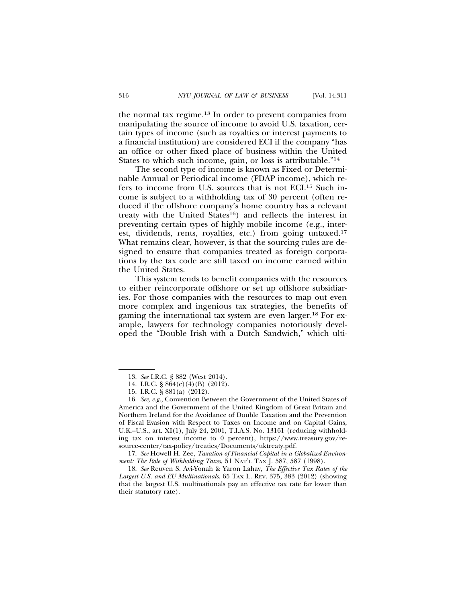the normal tax regime.13 In order to prevent companies from manipulating the source of income to avoid U.S. taxation, certain types of income (such as royalties or interest payments to a financial institution) are considered ECI if the company "has an office or other fixed place of business within the United States to which such income, gain, or loss is attributable."14

The second type of income is known as Fixed or Determinable Annual or Periodical income (FDAP income), which refers to income from U.S. sources that is not ECI.15 Such income is subject to a withholding tax of 30 percent (often reduced if the offshore company's home country has a relevant treaty with the United States<sup>16</sup>) and reflects the interest in preventing certain types of highly mobile income (e.g., interest, dividends, rents, royalties, etc.) from going untaxed.17 What remains clear, however, is that the sourcing rules are designed to ensure that companies treated as foreign corporations by the tax code are still taxed on income earned within the United States.

This system tends to benefit companies with the resources to either reincorporate offshore or set up offshore subsidiaries. For those companies with the resources to map out even more complex and ingenious tax strategies, the benefits of gaming the international tax system are even larger.18 For example, lawyers for technology companies notoriously developed the "Double Irish with a Dutch Sandwich," which ulti-

<sup>13.</sup> *See* I.R.C. § 882 (West 2014).

<sup>14.</sup> I.R.C. § 864(c)(4)(B) (2012).

<sup>15.</sup> I.R.C. § 881(a) (2012).

<sup>16.</sup> *See, e.g.*, Convention Between the Government of the United States of America and the Government of the United Kingdom of Great Britain and Northern Ireland for the Avoidance of Double Taxation and the Prevention of Fiscal Evasion with Respect to Taxes on Income and on Capital Gains, U.K.–U.S., art. XI(1), July 24, 2001, T.I.A.S. No. 13161 (reducing withholding tax on interest income to 0 percent), https://www.treasury.gov/resource-center/tax-policy/treaties/Documents/uktreaty.pdf.

<sup>17.</sup> *See* Howell H. Zee, *Taxation of Financial Capital in a Globalized Environment: The Role of Withholding Taxes*, 51 NAT'L TAX J. 587, 587 (1998).

<sup>18.</sup> *See* Reuven S. Avi-Yonah & Yaron Lahav, *The Effective Tax Rates of the Largest U.S. and EU Multinationals*, 65 TAX L. REV. 375, 383 (2012) (showing that the largest U.S. multinationals pay an effective tax rate far lower than their statutory rate).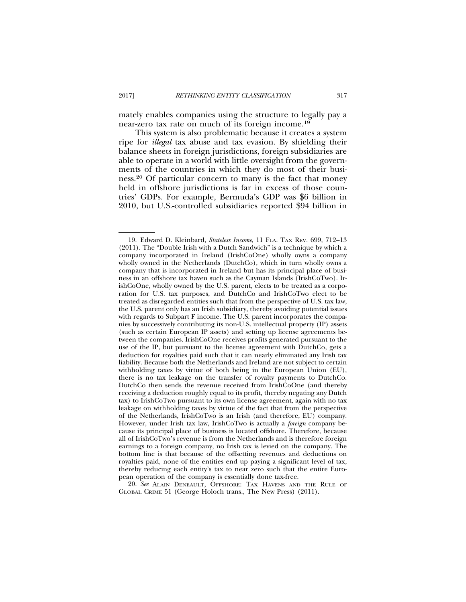mately enables companies using the structure to legally pay a near-zero tax rate on much of its foreign income.19

This system is also problematic because it creates a system ripe for *illegal* tax abuse and tax evasion. By shielding their balance sheets in foreign jurisdictions, foreign subsidiaries are able to operate in a world with little oversight from the governments of the countries in which they do most of their business.20 Of particular concern to many is the fact that money held in offshore jurisdictions is far in excess of those countries' GDPs. For example, Bermuda's GDP was \$6 billion in 2010, but U.S.-controlled subsidiaries reported \$94 billion in

20. *See* ALAIN DENEAULT, OFFSHORE: TAX HAVENS AND THE RULE OF GLOBAL CRIME 51 (George Holoch trans., The New Press) (2011).

<sup>19.</sup> Edward D. Kleinbard, *Stateless Income*, 11 FLA. TAX REV. 699, 712–13 (2011). The "Double Irish with a Dutch Sandwich" is a technique by which a company incorporated in Ireland (IrishCoOne) wholly owns a company wholly owned in the Netherlands (DutchCo), which in turn wholly owns a company that is incorporated in Ireland but has its principal place of business in an offshore tax haven such as the Cayman Islands (IrishCoTwo). IrishCoOne, wholly owned by the U.S. parent, elects to be treated as a corporation for U.S. tax purposes, and DutchCo and IrishCoTwo elect to be treated as disregarded entities such that from the perspective of U.S. tax law, the U.S. parent only has an Irish subsidiary, thereby avoiding potential issues with regards to Subpart F income. The U.S. parent incorporates the companies by successively contributing its non-U.S. intellectual property (IP) assets (such as certain European IP assets) and setting up license agreements between the companies. IrishCoOne receives profits generated pursuant to the use of the IP, but pursuant to the license agreement with DutchCo, gets a deduction for royalties paid such that it can nearly eliminated any Irish tax liability. Because both the Netherlands and Ireland are not subject to certain withholding taxes by virtue of both being in the European Union (EU), there is no tax leakage on the transfer of royalty payments to DutchCo. DutchCo then sends the revenue received from IrishCoOne (and thereby receiving a deduction roughly equal to its profit, thereby negating any Dutch tax) to IrishCoTwo pursuant to its own license agreement, again with no tax leakage on withholding taxes by virtue of the fact that from the perspective of the Netherlands, IrishCoTwo is an Irish (and therefore, EU) company. However, under Irish tax law, IrishCoTwo is actually a *foreign* company because its principal place of business is located offshore. Therefore, because all of IrishCoTwo's revenue is from the Netherlands and is therefore foreign earnings to a foreign company, no Irish tax is levied on the company. The bottom line is that because of the offsetting revenues and deductions on royalties paid, none of the entities end up paying a significant level of tax, thereby reducing each entity's tax to near zero such that the entire European operation of the company is essentially done tax-free.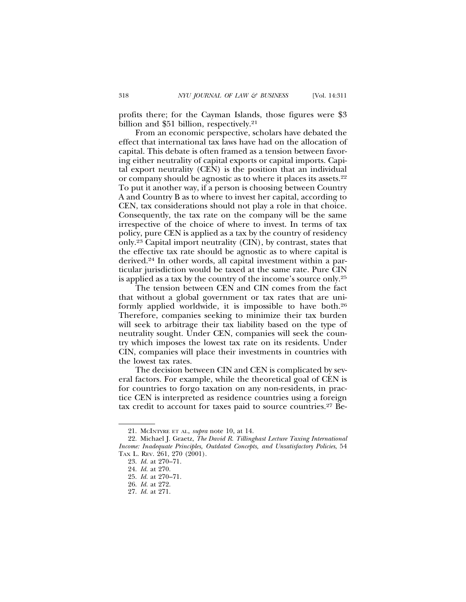profits there; for the Cayman Islands, those figures were \$3 billion and \$51 billion, respectively.<sup>21</sup>

From an economic perspective, scholars have debated the effect that international tax laws have had on the allocation of capital. This debate is often framed as a tension between favoring either neutrality of capital exports or capital imports. Capital export neutrality (CEN) is the position that an individual or company should be agnostic as to where it places its assets.22 To put it another way, if a person is choosing between Country A and Country B as to where to invest her capital, according to CEN, tax considerations should not play a role in that choice. Consequently, the tax rate on the company will be the same irrespective of the choice of where to invest. In terms of tax policy, pure CEN is applied as a tax by the country of residency only.23 Capital import neutrality (CIN), by contrast, states that the effective tax rate should be agnostic as to where capital is derived.24 In other words, all capital investment within a particular jurisdiction would be taxed at the same rate. Pure CIN is applied as a tax by the country of the income's source only.25

The tension between CEN and CIN comes from the fact that without a global government or tax rates that are uniformly applied worldwide, it is impossible to have both.26 Therefore, companies seeking to minimize their tax burden will seek to arbitrage their tax liability based on the type of neutrality sought. Under CEN, companies will seek the country which imposes the lowest tax rate on its residents. Under CIN, companies will place their investments in countries with the lowest tax rates.

The decision between CIN and CEN is complicated by several factors. For example, while the theoretical goal of CEN is for countries to forgo taxation on any non-residents, in practice CEN is interpreted as residence countries using a foreign tax credit to account for taxes paid to source countries.27 Be-

<sup>21.</sup> MCINTYRE ET AL, *supra* note 10, at 14.

<sup>22.</sup> Michael J. Graetz, *The David R. Tillinghast Lecture Taxing International Income: Inadequate Principles, Outdated Concepts, and Unsatisfactory Policies*, 54 TAX L. REV. 261, 270 (2001).

<sup>23.</sup> *Id.* at 270–71.

<sup>24.</sup> *Id.* at 270.

<sup>25.</sup> *Id.* at 270–71.

<sup>26.</sup> *Id.* at 272.

<sup>27.</sup> *Id.* at 271.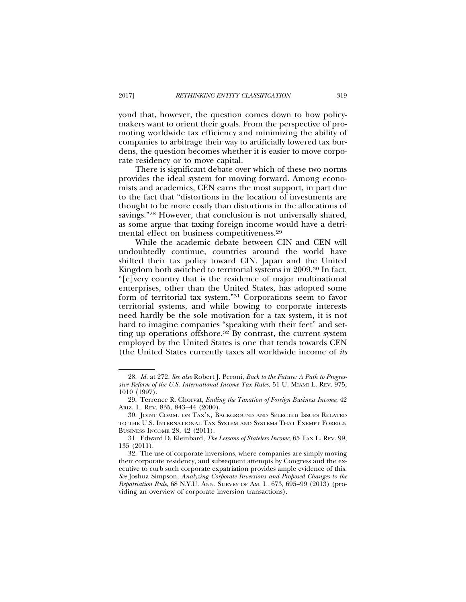yond that, however, the question comes down to how policymakers want to orient their goals. From the perspective of promoting worldwide tax efficiency and minimizing the ability of companies to arbitrage their way to artificially lowered tax burdens, the question becomes whether it is easier to move corporate residency or to move capital.

There is significant debate over which of these two norms provides the ideal system for moving forward. Among economists and academics, CEN earns the most support, in part due to the fact that "distortions in the location of investments are thought to be more costly than distortions in the allocations of savings."28 However, that conclusion is not universally shared, as some argue that taxing foreign income would have a detrimental effect on business competitiveness.29

While the academic debate between CIN and CEN will undoubtedly continue, countries around the world have shifted their tax policy toward CIN. Japan and the United Kingdom both switched to territorial systems in 2009.30 In fact, "[e]very country that is the residence of major multinational enterprises, other than the United States, has adopted some form of territorial tax system."31 Corporations seem to favor territorial systems, and while bowing to corporate interests need hardly be the sole motivation for a tax system, it is not hard to imagine companies "speaking with their feet" and setting up operations offshore.32 By contrast, the current system employed by the United States is one that tends towards CEN (the United States currently taxes all worldwide income of *its*

<sup>28.</sup> *Id.* at 272. *See also* Robert J. Peroni, *Back to the Future: A Path to Progressive Reform of the U.S. International Income Tax Rules*, 51 U. MIAMI L. REV. 975, 1010 (1997).

<sup>29.</sup> Terrence R. Chorvat, *Ending the Taxation of Foreign Business Income*, 42 ARIZ. L. REV. 835, 843–44 (2000).

<sup>30.</sup> JOINT COMM. ON TAX'N, BACKGROUND AND SELECTED ISSUES RELATED TO THE U.S. INTERNATIONAL TAX SYSTEM AND SYSTEMS THAT EXEMPT FOREIGN BUSINESS INCOME 28, 42 (2011).

<sup>31.</sup> Edward D. Kleinbard, *The Lessons of Stateless Income*, 65 TAX L. REV. 99, 135 (2011).

<sup>32.</sup> The use of corporate inversions, where companies are simply moving their corporate residency, and subsequent attempts by Congress and the executive to curb such corporate expatriation provides ample evidence of this. *See* Joshua Simpson, *Analyzing Corporate Inversions and Proposed Changes to the Repatriation Rule*, 68 N.Y.U. ANN. SURVEY OF AM. L. 673, 695–99 (2013) (providing an overview of corporate inversion transactions).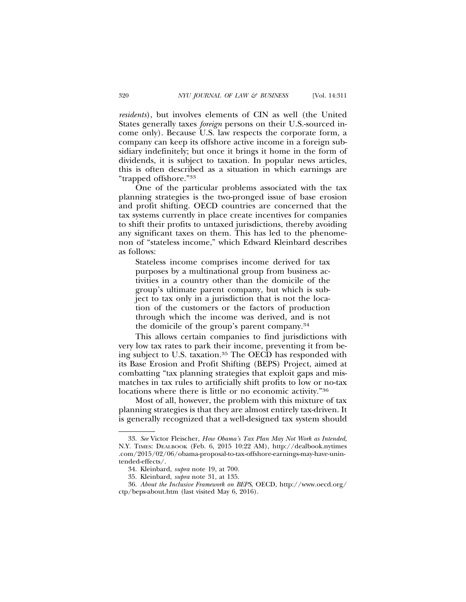*residents*), but involves elements of CIN as well (the United States generally taxes *foreign* persons on their U.S.-sourced income only). Because U.S. law respects the corporate form, a company can keep its offshore active income in a foreign subsidiary indefinitely; but once it brings it home in the form of dividends, it is subject to taxation. In popular news articles, this is often described as a situation in which earnings are "trapped offshore."33

One of the particular problems associated with the tax planning strategies is the two-pronged issue of base erosion and profit shifting. OECD countries are concerned that the tax systems currently in place create incentives for companies to shift their profits to untaxed jurisdictions, thereby avoiding any significant taxes on them. This has led to the phenomenon of "stateless income," which Edward Kleinbard describes as follows:

Stateless income comprises income derived for tax purposes by a multinational group from business activities in a country other than the domicile of the group's ultimate parent company, but which is subject to tax only in a jurisdiction that is not the location of the customers or the factors of production through which the income was derived, and is not the domicile of the group's parent company.34

This allows certain companies to find jurisdictions with very low tax rates to park their income, preventing it from being subject to U.S. taxation.35 The OECD has responded with its Base Erosion and Profit Shifting (BEPS) Project, aimed at combatting "tax planning strategies that exploit gaps and mismatches in tax rules to artificially shift profits to low or no-tax locations where there is little or no economic activity."<sup>36</sup>

Most of all, however, the problem with this mixture of tax planning strategies is that they are almost entirely tax-driven. It is generally recognized that a well-designed tax system should

<sup>33.</sup> *See* Victor Fleischer, *How Obama's Tax Plan May Not Work as Intended*, N.Y. TIMES: DEALBOOK (Feb. 6, 2015 10:22 AM), http://dealbook.nytimes .com/2015/02/06/obama-proposal-to-tax-offshore-earnings-may-have-unintended-effects/.

<sup>34.</sup> Kleinbard, *supra* note 19, at 700.

<sup>35.</sup> Kleinbard, *supra* note 31, at 135.

<sup>36.</sup> *About the Inclusive Framework on BEPS*, OECD, http://www.oecd.org/ ctp/beps-about.htm (last visited May 6, 2016).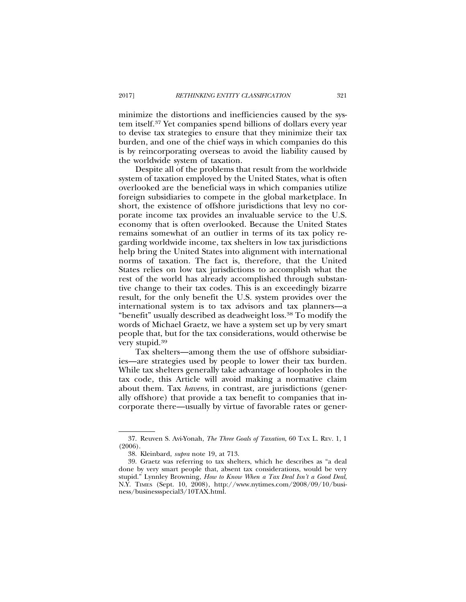minimize the distortions and inefficiencies caused by the system itself.37 Yet companies spend billions of dollars every year to devise tax strategies to ensure that they minimize their tax burden, and one of the chief ways in which companies do this is by reincorporating overseas to avoid the liability caused by the worldwide system of taxation.

Despite all of the problems that result from the worldwide system of taxation employed by the United States, what is often overlooked are the beneficial ways in which companies utilize foreign subsidiaries to compete in the global marketplace. In short, the existence of offshore jurisdictions that levy no corporate income tax provides an invaluable service to the U.S. economy that is often overlooked. Because the United States remains somewhat of an outlier in terms of its tax policy regarding worldwide income, tax shelters in low tax jurisdictions help bring the United States into alignment with international norms of taxation. The fact is, therefore, that the United States relies on low tax jurisdictions to accomplish what the rest of the world has already accomplished through substantive change to their tax codes. This is an exceedingly bizarre result, for the only benefit the U.S. system provides over the international system is to tax advisors and tax planners—a "benefit" usually described as deadweight loss.38 To modify the words of Michael Graetz, we have a system set up by very smart people that, but for the tax considerations, would otherwise be very stupid.39

Tax shelters—among them the use of offshore subsidiaries—are strategies used by people to lower their tax burden. While tax shelters generally take advantage of loopholes in the tax code, this Article will avoid making a normative claim about them. Tax *havens*, in contrast, are jurisdictions (generally offshore) that provide a tax benefit to companies that incorporate there—usually by virtue of favorable rates or gener-

<sup>37.</sup> Reuven S. Avi-Yonah, *The Three Goals of Taxation*, 60 TAX L. REV. 1, 1 (2006).

<sup>38.</sup> Kleinbard, *supra* note 19, at 713.

<sup>39.</sup> Graetz was referring to tax shelters, which he describes as "a deal done by very smart people that, absent tax considerations, would be very stupid." Lynnley Browning, *How to Know When a Tax Deal Isn't a Good Deal*, N.Y. TIMES (Sept. 10, 2008), http://www.nytimes.com/2008/09/10/business/businessspecial3/10TAX.html.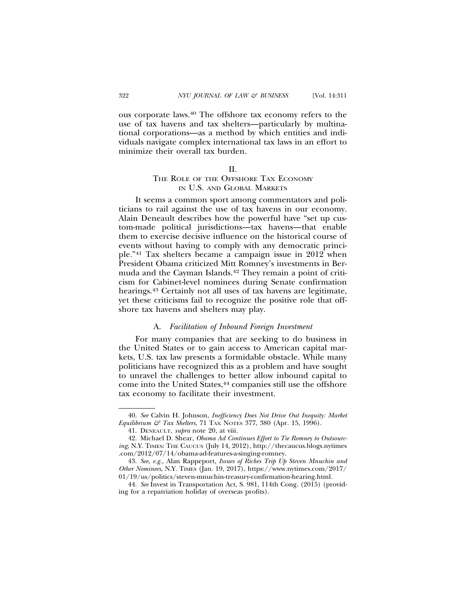ous corporate laws.40 The offshore tax economy refers to the use of tax havens and tax shelters—particularly by multinational corporations—as a method by which entities and individuals navigate complex international tax laws in an effort to minimize their overall tax burden.

#### $II$ .

# THE ROLE OF THE OFFSHORE TAX ECONOMY IN U.S. AND GLOBAL MARKETS

It seems a common sport among commentators and politicians to rail against the use of tax havens in our economy. Alain Deneault describes how the powerful have "set up custom-made political jurisdictions—tax havens—that enable them to exercise decisive influence on the historical course of events without having to comply with any democratic principle."41 Tax shelters became a campaign issue in 2012 when President Obama criticized Mitt Romney's investments in Bermuda and the Cayman Islands.<sup>42</sup> They remain a point of criticism for Cabinet-level nominees during Senate confirmation hearings.<sup>43</sup> Certainly not all uses of tax havens are legitimate, yet these criticisms fail to recognize the positive role that offshore tax havens and shelters may play.

## A. *Facilitation of Inbound Foreign Investment*

For many companies that are seeking to do business in the United States or to gain access to American capital markets, U.S. tax law presents a formidable obstacle. While many politicians have recognized this as a problem and have sought to unravel the challenges to better allow inbound capital to come into the United States,<sup>44</sup> companies still use the offshore tax economy to facilitate their investment.

<sup>40.</sup> *See* Calvin H. Johnson, *Inefficiency Does Not Drive Out Inequity: Market Equilibrium & Tax Shelters*, 71 TAX NOTES 377, 380 (Apr. 15, 1996).

<sup>41.</sup> DENEAULT, *supra* note 20, at viii.

<sup>42.</sup> Michael D. Shear, *Obama Ad Continues Effort to Tie Romney to Outsourcing*, N.Y. TIMES: THE CAUCUS (July 14, 2012), http://thecaucus.blogs.nytimes .com/2012/07/14/obama-ad-features-a-singing-romney.

<sup>43.</sup> *See, e.g.*, Alan Rappeport, *Issues of Riches Trip Up Steven Mnuchin and Other Nominees*, N.Y. TIMES (Jan. 19, 2017), https://www.nytimes.com/2017/ 01/19/us/politics/steven-mnuchin-treasury-confirmation-hearing.html.

<sup>44.</sup> *See* Invest in Transportation Act, S. 981, 114th Cong. (2015) (providing for a repatriation holiday of overseas profits).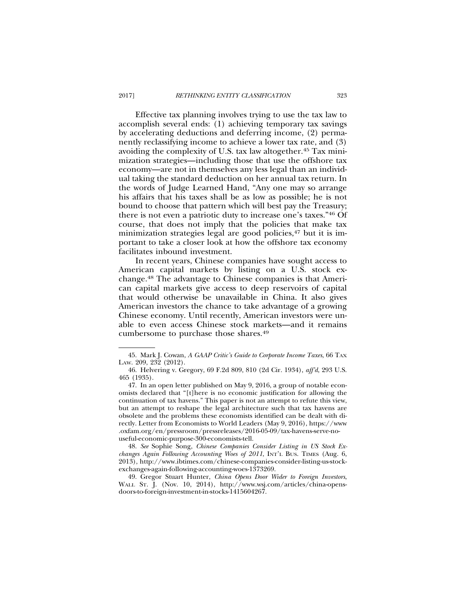Effective tax planning involves trying to use the tax law to accomplish several ends: (1) achieving temporary tax savings by accelerating deductions and deferring income, (2) permanently reclassifying income to achieve a lower tax rate, and (3) avoiding the complexity of U.S. tax law altogether.45 Tax minimization strategies—including those that use the offshore tax economy—are not in themselves any less legal than an individual taking the standard deduction on her annual tax return. In the words of Judge Learned Hand, "Any one may so arrange his affairs that his taxes shall be as low as possible; he is not bound to choose that pattern which will best pay the Treasury; there is not even a patriotic duty to increase one's taxes."46 Of course, that does not imply that the policies that make tax minimization strategies legal are good policies, $47$  but it is important to take a closer look at how the offshore tax economy facilitates inbound investment.

In recent years, Chinese companies have sought access to American capital markets by listing on a U.S. stock exchange.48 The advantage to Chinese companies is that American capital markets give access to deep reservoirs of capital that would otherwise be unavailable in China. It also gives American investors the chance to take advantage of a growing Chinese economy. Until recently, American investors were unable to even access Chinese stock markets—and it remains cumbersome to purchase those shares.49

<sup>45.</sup> Mark J. Cowan, *A GAAP Critic's Guide to Corporate Income Taxes*, 66 TAX LAW. 209, 232 (2012).

<sup>46.</sup> Helvering v. Gregory, 69 F.2d 809, 810 (2d Cir. 1934), *aff'd*, 293 U.S. 465 (1935).

<sup>47.</sup> In an open letter published on May 9, 2016, a group of notable economists declared that "[t]here is no economic justification for allowing the continuation of tax havens." This paper is not an attempt to refute this view, but an attempt to reshape the legal architecture such that tax havens are obsolete and the problems these economists identified can be dealt with directly. Letter from Economists to World Leaders (May 9, 2016), https://www .oxfam.org/en/pressroom/pressreleases/2016-05-09/tax-havens-serve-nouseful-economic-purpose-300-economists-tell.

<sup>48.</sup> *See* Sophie Song, *Chinese Companies Consider Listing in US Stock Exchanges Again Following Accounting Woes of 2011*, INT'L BUS. TIMES (Aug. 6, 2013), http://www.ibtimes.com/chinese-companies-consider-listing-us-stockexchanges-again-following-accounting-woes-1373269.

<sup>49.</sup> Gregor Stuart Hunter, *China Opens Door Wider to Foreign Investors*, WALL ST. J. (Nov. 10, 2014), http://www.wsj.com/articles/china-opensdoors-to-foreign-investment-in-stocks-1415604267.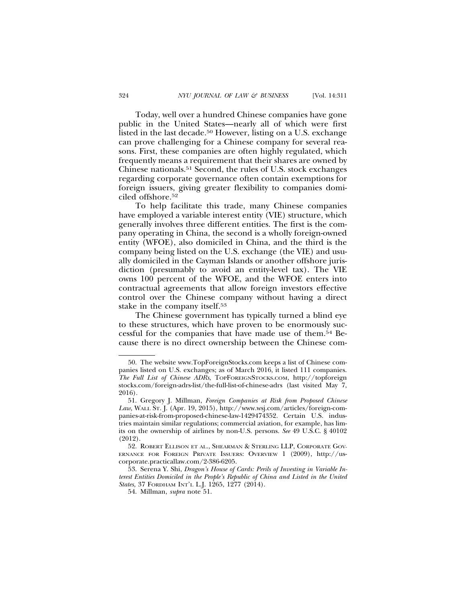Today, well over a hundred Chinese companies have gone public in the United States—nearly all of which were first listed in the last decade.50 However, listing on a U.S. exchange can prove challenging for a Chinese company for several reasons. First, these companies are often highly regulated, which frequently means a requirement that their shares are owned by Chinese nationals.51 Second, the rules of U.S. stock exchanges regarding corporate governance often contain exemptions for foreign issuers, giving greater flexibility to companies domiciled offshore.52

To help facilitate this trade, many Chinese companies have employed a variable interest entity (VIE) structure, which generally involves three different entities. The first is the company operating in China, the second is a wholly foreign-owned entity (WFOE), also domiciled in China, and the third is the company being listed on the U.S. exchange (the VIE) and usually domiciled in the Cayman Islands or another offshore jurisdiction (presumably to avoid an entity-level tax). The VIE owns 100 percent of the WFOE, and the WFOE enters into contractual agreements that allow foreign investors effective control over the Chinese company without having a direct stake in the company itself.53

The Chinese government has typically turned a blind eye to these structures, which have proven to be enormously successful for the companies that have made use of them.54 Because there is no direct ownership between the Chinese com-

<sup>50.</sup> The website www.TopForeignStocks.com keeps a list of Chinese companies listed on U.S. exchanges; as of March 2016, it listed 111 companies. *The Full List of Chinese ADRs*, TOPFOREIGNSTOCKS.COM, http://topforeign stocks.com/foreign-adrs-list/the-full-list-of-chinese-adrs (last visited May 7, 2016).

<sup>51.</sup> Gregory J. Millman, *Foreign Companies at Risk from Proposed Chinese Law*, WALL ST. J. (Apr. 19, 2015), http://www.wsj.com/articles/foreign-companies-at-risk-from-proposed-chinese-law-1429474352. Certain U.S. industries maintain similar regulations; commercial aviation, for example, has limits on the ownership of airlines by non-U.S. persons. *See* 49 U.S.C. § 40102 (2012).

<sup>52.</sup> ROBERT ELLISON ET AL., SHEARMAN & STERLING LLP, CORPORATE GOV-ERNANCE FOR FOREIGN PRIVATE ISSUERS: OVERVIEW 1 (2009), http://uscorporate.practicallaw.com/2-386-6205.

<sup>53.</sup> Serena Y. Shi, *Dragon's House of Cards: Perils of Investing in Variable Interest Entities Domiciled in the People's Republic of China and Listed in the United States*, 37 FORDHAM INT'L L.J. 1265, 1277 (2014).

<sup>54.</sup> Millman, *supra* note 51.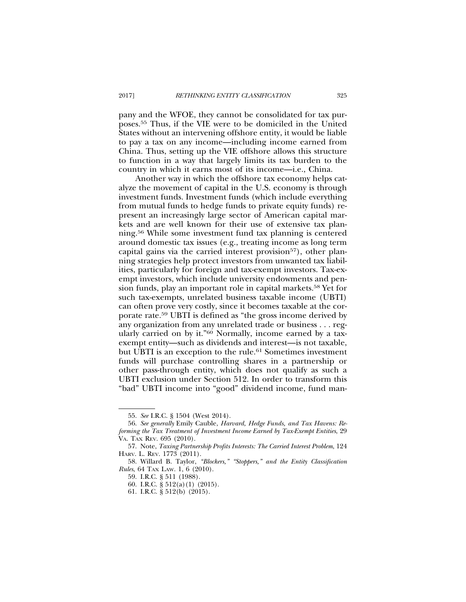pany and the WFOE, they cannot be consolidated for tax purposes.55 Thus, if the VIE were to be domiciled in the United States without an intervening offshore entity, it would be liable to pay a tax on any income—including income earned from China. Thus, setting up the VIE offshore allows this structure to function in a way that largely limits its tax burden to the country in which it earns most of its income—i.e., China.

Another way in which the offshore tax economy helps catalyze the movement of capital in the U.S. economy is through investment funds. Investment funds (which include everything from mutual funds to hedge funds to private equity funds) represent an increasingly large sector of American capital markets and are well known for their use of extensive tax planning.56 While some investment fund tax planning is centered around domestic tax issues (e.g., treating income as long term capital gains via the carried interest provision<sup>57</sup>), other planning strategies help protect investors from unwanted tax liabilities, particularly for foreign and tax-exempt investors. Tax-exempt investors, which include university endowments and pension funds, play an important role in capital markets.<sup>58</sup> Yet for such tax-exempts, unrelated business taxable income (UBTI) can often prove very costly, since it becomes taxable at the corporate rate.59 UBTI is defined as "the gross income derived by any organization from any unrelated trade or business . . . regularly carried on by it."60 Normally, income earned by a taxexempt entity—such as dividends and interest—is not taxable, but UBTI is an exception to the rule.<sup>61</sup> Sometimes investment funds will purchase controlling shares in a partnership or other pass-through entity, which does not qualify as such a UBTI exclusion under Section 512. In order to transform this "bad" UBTI income into "good" dividend income, fund man-

61. I.R.C. § 512(b) (2015).

<sup>55.</sup> *See* I.R.C. § 1504 (West 2014).

<sup>56.</sup> *See generally* Emily Cauble, *Harvard, Hedge Funds, and Tax Havens: Reforming the Tax Treatment of Investment Income Earned by Tax-Exempt Entities*, 29 VA. TAX REV. 695 (2010).

<sup>57.</sup> Note, *Taxing Partnership Profits Interests: The Carried Interest Problem*, 124 HARV. L. REV. 1773 (2011).

<sup>58.</sup> Willard B. Taylor, *"Blockers," "Stoppers," and the Entity Classification Rules*, 64 TAX LAW. 1, 6 (2010).

<sup>59.</sup> I.R.C. § 511 (1988).

<sup>60.</sup> I.R.C. § 512(a)(1) (2015).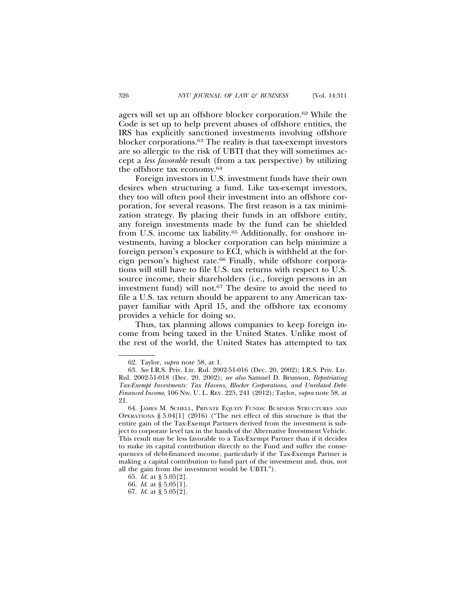agers will set up an offshore blocker corporation.62 While the Code is set up to help prevent abuses of offshore entities, the IRS has explicitly sanctioned investments involving offshore blocker corporations.63 The reality is that tax-exempt investors are so allergic to the risk of UBTI that they will sometimes accept a *less favorable* result (from a tax perspective) by utilizing the offshore tax economy.64

Foreign investors in U.S. investment funds have their own desires when structuring a fund. Like tax-exempt investors, they too will often pool their investment into an offshore corporation, for several reasons. The first reason is a tax minimization strategy. By placing their funds in an offshore entity, any foreign investments made by the fund can be shielded from U.S. income tax liability.65 Additionally, for onshore investments, having a blocker corporation can help minimize a foreign person's exposure to ECI, which is withheld at the foreign person's highest rate.<sup>66</sup> Finally, while offshore corporations will still have to file U.S. tax returns with respect to U.S. source income, their shareholders (i.e., foreign persons in an investment fund) will not.67 The desire to avoid the need to file a U.S. tax return should be apparent to any American taxpayer familiar with April 15, and the offshore tax economy provides a vehicle for doing so.

Thus, tax planning allows companies to keep foreign income from being taxed in the United States. Unlike most of the rest of the world, the United States has attempted to tax

<sup>62.</sup> Taylor, *supra* note 58, at 1.

<sup>63.</sup> *See* I.R.S. Priv. Ltr. Rul. 2002-51-016 (Dec. 20, 2002); I.R.S. Priv. Ltr. Rul. 2002-51-018 (Dec. 20, 2002); *see also* Samuel D. Brunson, *Repatriating Tax-Exempt Investments: Tax Havens, Blocker Corporations, and Unrelated Debt-Financed Income*, 106 NW. U. L. REV. 225, 241 (2012); Taylor, *supra* note 58, at 21.

<sup>64.</sup> JAMES M. SCHELL, PRIVATE EQUITY FUNDS: BUSINESS STRUCTURES AND OPERATIONS § 5.04[1] (2016) ("The net effect of this structure is that the entire gain of the Tax-Exempt Partners derived from the investment is subject to corporate level tax in the hands of the Alternative Investment Vehicle. This result may be less favorable to a Tax-Exempt Partner than if it decides to make its capital contribution directly to the Fund and suffer the consequences of debt-financed income, particularly if the Tax-Exempt Partner is making a capital contribution to fund part of the investment and, thus, not all the gain from the investment would be UBTI.").

<sup>65.</sup> *Id.* at § 5.05[2].

<sup>66.</sup> *Id.* at § 5.05[1].

<sup>67.</sup> *Id.* at § 5.05[2].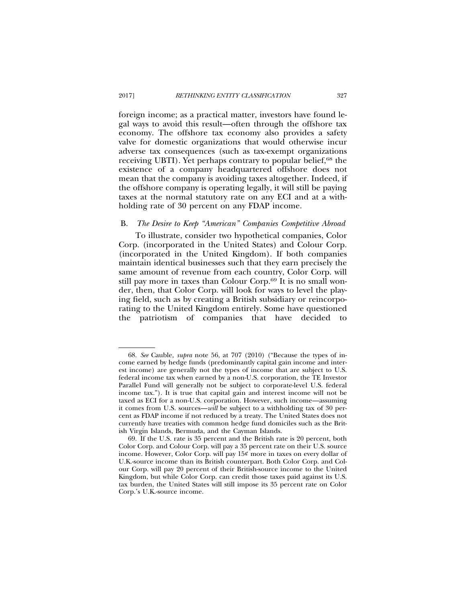foreign income; as a practical matter, investors have found legal ways to avoid this result—often through the offshore tax economy. The offshore tax economy also provides a safety valve for domestic organizations that would otherwise incur adverse tax consequences (such as tax-exempt organizations receiving UBTI). Yet perhaps contrary to popular belief,<sup>68</sup> the existence of a company headquartered offshore does not mean that the company is avoiding taxes altogether. Indeed, if the offshore company is operating legally, it will still be paying taxes at the normal statutory rate on any ECI and at a withholding rate of 30 percent on any FDAP income.

#### B. *The Desire to Keep "American" Companies Competitive Abroad*

To illustrate, consider two hypothetical companies, Color Corp. (incorporated in the United States) and Colour Corp. (incorporated in the United Kingdom). If both companies maintain identical businesses such that they earn precisely the same amount of revenue from each country, Color Corp. will still pay more in taxes than Colour Corp.69 It is no small wonder, then, that Color Corp. will look for ways to level the playing field, such as by creating a British subsidiary or reincorporating to the United Kingdom entirely. Some have questioned the patriotism of companies that have decided to

<sup>68.</sup> *See* Cauble, *supra* note 56, at 707 (2010) ("Because the types of income earned by hedge funds (predominantly capital gain income and interest income) are generally not the types of income that are subject to U.S. federal income tax when earned by a non-U.S. corporation, the TE Investor Parallel Fund will generally not be subject to corporate-level U.S. federal income tax."). It is true that capital gain and interest income will not be taxed as ECI for a non-U.S. corporation. However, such income—assuming it comes from U.S. sources—*will* be subject to a withholding tax of 30 percent as FDAP income if not reduced by a treaty. The United States does not currently have treaties with common hedge fund domiciles such as the British Virgin Islands, Bermuda, and the Cayman Islands.

<sup>69.</sup> If the U.S. rate is 35 percent and the British rate is 20 percent, both Color Corp. and Colour Corp. will pay a 35 percent rate on their U.S. source income. However, Color Corp. will pay 15¢ more in taxes on every dollar of U.K.-source income than its British counterpart. Both Color Corp. and Colour Corp. will pay 20 percent of their British-source income to the United Kingdom, but while Color Corp. can credit those taxes paid against its U.S. tax burden, the United States will still impose its 35 percent rate on Color Corp.'s U.K.-source income.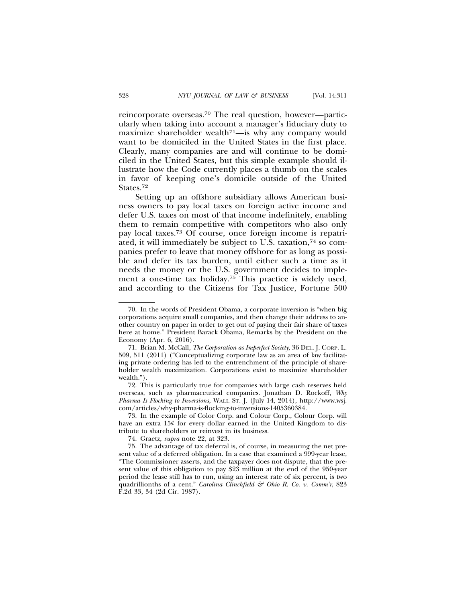reincorporate overseas.70 The real question, however—particularly when taking into account a manager's fiduciary duty to maximize shareholder wealth<sup> $71$ </sup>—is why any company would want to be domiciled in the United States in the first place. Clearly, many companies are and will continue to be domiciled in the United States, but this simple example should illustrate how the Code currently places a thumb on the scales in favor of keeping one's domicile outside of the United States.72

Setting up an offshore subsidiary allows American business owners to pay local taxes on foreign active income and defer U.S. taxes on most of that income indefinitely, enabling them to remain competitive with competitors who also only pay local taxes.73 Of course, once foreign income is repatriated, it will immediately be subject to U.S. taxation,<sup>74</sup> so companies prefer to leave that money offshore for as long as possible and defer its tax burden, until either such a time as it needs the money or the U.S. government decides to implement a one-time tax holiday.75 This practice is widely used, and according to the Citizens for Tax Justice, Fortune 500

72. This is particularly true for companies with large cash reserves held overseas, such as pharmaceutical companies. Jonathan D. Rockoff, *Why Pharma Is Flocking to Inversions*, WALL ST. J. (July 14, 2014), http://www.wsj. com/articles/why-pharma-is-flocking-to-inversions-1405360384.

73. In the example of Color Corp. and Colour Corp., Colour Corp. will have an extra  $15¢$  for every dollar earned in the United Kingdom to distribute to shareholders or reinvest in its business.

74. Graetz, *supra* note 22, at 323.

75. The advantage of tax deferral is, of course, in measuring the net present value of a deferred obligation. In a case that examined a 999-year lease, "The Commissioner asserts, and the taxpayer does not dispute, that the present value of this obligation to pay \$23 million at the end of the 950-year period the lease still has to run, using an interest rate of six percent, is two quadrillionths of a cent." *Carolina Clinchfield & Ohio R. Co. v. Comm'r*, 823 F.2d 33, 34 (2d Cir. 1987).

<sup>70.</sup> In the words of President Obama, a corporate inversion is "when big corporations acquire small companies, and then change their address to another country on paper in order to get out of paying their fair share of taxes here at home." President Barack Obama, Remarks by the President on the Economy (Apr. 6, 2016).

<sup>71.</sup> Brian M. McCall, *The Corporation as Imperfect Society*, 36 DEL. J. CORP. L. 509, 511 (2011) ("Conceptualizing corporate law as an area of law facilitating private ordering has led to the entrenchment of the principle of shareholder wealth maximization. Corporations exist to maximize shareholder wealth.").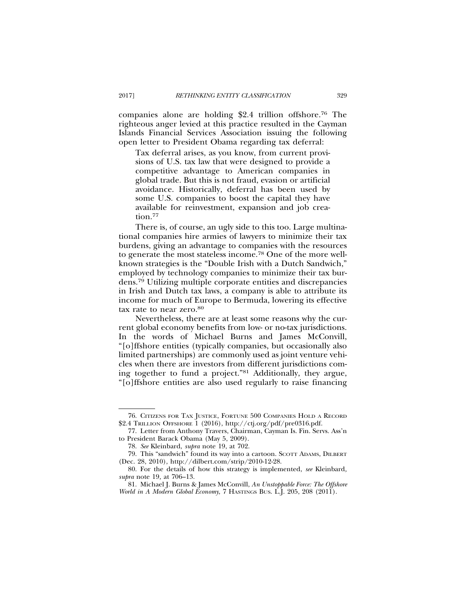companies alone are holding \$2.4 trillion offshore.76 The righteous anger levied at this practice resulted in the Cayman Islands Financial Services Association issuing the following open letter to President Obama regarding tax deferral:

Tax deferral arises, as you know, from current provisions of U.S. tax law that were designed to provide a competitive advantage to American companies in global trade. But this is not fraud, evasion or artificial avoidance. Historically, deferral has been used by some U.S. companies to boost the capital they have available for reinvestment, expansion and job creation.77

There is, of course, an ugly side to this too. Large multinational companies hire armies of lawyers to minimize their tax burdens, giving an advantage to companies with the resources to generate the most stateless income.78 One of the more wellknown strategies is the "Double Irish with a Dutch Sandwich," employed by technology companies to minimize their tax burdens.79 Utilizing multiple corporate entities and discrepancies in Irish and Dutch tax laws, a company is able to attribute its income for much of Europe to Bermuda, lowering its effective tax rate to near zero.80

Nevertheless, there are at least some reasons why the current global economy benefits from low- or no-tax jurisdictions. In the words of Michael Burns and James McConvill, "[o]ffshore entities (typically companies, but occasionally also limited partnerships) are commonly used as joint venture vehicles when there are investors from different jurisdictions coming together to fund a project."81 Additionally, they argue, "[o]ffshore entities are also used regularly to raise financing

<sup>76.</sup> CITIZENS FOR TAX JUSTICE, FORTUNE 500 COMPANIES HOLD A RECORD \$2.4 TRILLION OFFSHORE 1 (2016), http://ctj.org/pdf/pre0316.pdf.

<sup>77.</sup> Letter from Anthony Travers, Chairman, Cayman Is. Fin. Servs. Ass'n to President Barack Obama (May 5, 2009).

<sup>78.</sup> *See* Kleinbard, *supra* note 19, at 702.

<sup>79.</sup> This "sandwich" found its way into a cartoon. SCOTT ADAMS, DILBERT (Dec. 28, 2010), http://dilbert.com/strip/2010-12-28.

<sup>80.</sup> For the details of how this strategy is implemented, *see* Kleinbard*, supra* note 19*,* at 706–13.

<sup>81.</sup> Michael J. Burns & James McConvill, *An Unstoppable Force: The Offshore World in A Modern Global Economy*, 7 HASTINGS BUS. L.J. 205, 208 (2011).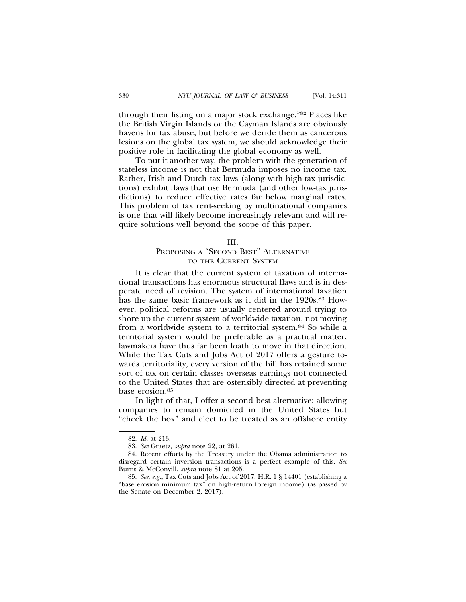through their listing on a major stock exchange."82 Places like the British Virgin Islands or the Cayman Islands are obviously havens for tax abuse, but before we deride them as cancerous lesions on the global tax system, we should acknowledge their positive role in facilitating the global economy as well.

To put it another way, the problem with the generation of stateless income is not that Bermuda imposes no income tax. Rather, Irish and Dutch tax laws (along with high-tax jurisdictions) exhibit flaws that use Bermuda (and other low-tax jurisdictions) to reduce effective rates far below marginal rates. This problem of tax rent-seeking by multinational companies is one that will likely become increasingly relevant and will require solutions well beyond the scope of this paper.

#### III.

# PROPOSING A "SECOND BEST" ALTERNATIVE TO THE CURRENT SYSTEM

It is clear that the current system of taxation of international transactions has enormous structural flaws and is in desperate need of revision. The system of international taxation has the same basic framework as it did in the 1920s.<sup>83</sup> However, political reforms are usually centered around trying to shore up the current system of worldwide taxation, not moving from a worldwide system to a territorial system.84 So while a territorial system would be preferable as a practical matter, lawmakers have thus far been loath to move in that direction. While the Tax Cuts and Jobs Act of 2017 offers a gesture towards territoriality, every version of the bill has retained some sort of tax on certain classes overseas earnings not connected to the United States that are ostensibly directed at preventing base erosion.85

In light of that, I offer a second best alternative: allowing companies to remain domiciled in the United States but "check the box" and elect to be treated as an offshore entity

<sup>82.</sup> *Id.* at 213.

<sup>83.</sup> *See* Graetz, *supra* note 22, at 261.

<sup>84.</sup> Recent efforts by the Treasury under the Obama administration to disregard certain inversion transactions is a perfect example of this. *See* Burns & McConvill, *supra* note 81 at 205.

<sup>85.</sup> *See, e.g.*, Tax Cuts and Jobs Act of 2017, H.R. 1 § 14401 (establishing a "base erosion minimum tax" on high-return foreign income) (as passed by the Senate on December 2, 2017).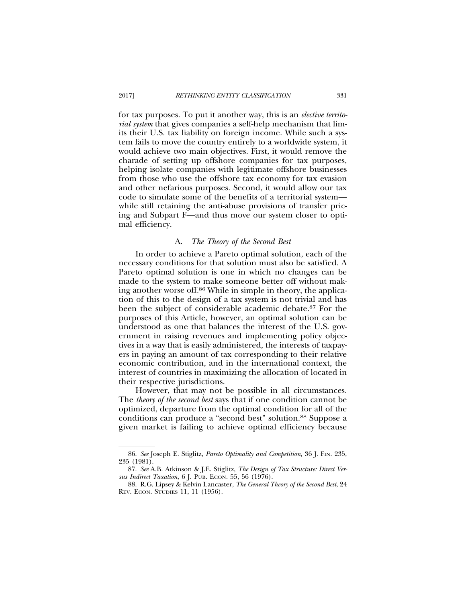for tax purposes. To put it another way, this is an *elective territorial system* that gives companies a self-help mechanism that limits their U.S. tax liability on foreign income. While such a system fails to move the country entirely to a worldwide system, it would achieve two main objectives. First, it would remove the charade of setting up offshore companies for tax purposes, helping isolate companies with legitimate offshore businesses from those who use the offshore tax economy for tax evasion and other nefarious purposes. Second, it would allow our tax code to simulate some of the benefits of a territorial system while still retaining the anti-abuse provisions of transfer pricing and Subpart F—and thus move our system closer to optimal efficiency.

## A. *The Theory of the Second Best*

In order to achieve a Pareto optimal solution, each of the necessary conditions for that solution must also be satisfied. A Pareto optimal solution is one in which no changes can be made to the system to make someone better off without making another worse off.86 While in simple in theory, the application of this to the design of a tax system is not trivial and has been the subject of considerable academic debate.87 For the purposes of this Article, however, an optimal solution can be understood as one that balances the interest of the U.S. government in raising revenues and implementing policy objectives in a way that is easily administered, the interests of taxpayers in paying an amount of tax corresponding to their relative economic contribution, and in the international context, the interest of countries in maximizing the allocation of located in their respective jurisdictions.

However, that may not be possible in all circumstances. The *theory of the second best* says that if one condition cannot be optimized, departure from the optimal condition for all of the conditions can produce a "second best" solution.88 Suppose a given market is failing to achieve optimal efficiency because

<sup>86.</sup> *See* Joseph E. Stiglitz, *Pareto Optimality and Competition*, 36 J. FIN. 235, 235 (1981).

<sup>87.</sup> *See* A.B. Atkinson & J.E. Stiglitz, *The Design of Tax Structure: Direct Versus Indirect Taxation*, 6 J. PUB. ECON. 55, 56 (1976).

<sup>88.</sup> R.G. Lipsey & Kelvin Lancaster, *The General Theory of the Second Best*, 24 REV. ECON. STUDIES 11, 11 (1956).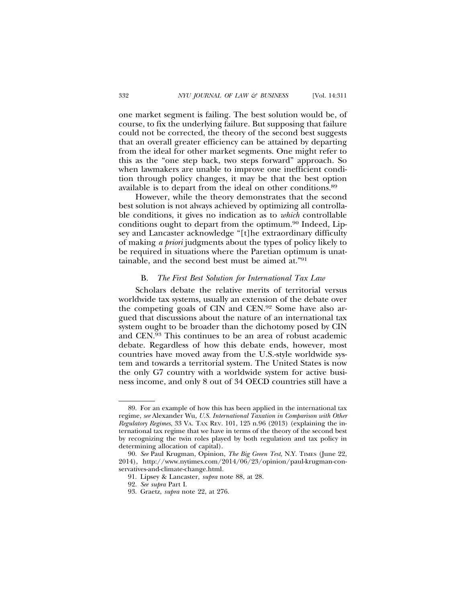one market segment is failing. The best solution would be, of course, to fix the underlying failure. But supposing that failure could not be corrected, the theory of the second best suggests that an overall greater efficiency can be attained by departing from the ideal for other market segments. One might refer to this as the "one step back, two steps forward" approach. So when lawmakers are unable to improve one inefficient condition through policy changes, it may be that the best option available is to depart from the ideal on other conditions.89

However, while the theory demonstrates that the second best solution is not always achieved by optimizing all controllable conditions, it gives no indication as to *which* controllable conditions ought to depart from the optimum.90 Indeed, Lipsey and Lancaster acknowledge "[t]he extraordinary difficulty of making *a priori* judgments about the types of policy likely to be required in situations where the Paretian optimum is unattainable, and the second best must be aimed at."91

## B. *The First Best Solution for International Tax Law*

Scholars debate the relative merits of territorial versus worldwide tax systems, usually an extension of the debate over the competing goals of CIN and CEN.92 Some have also argued that discussions about the nature of an international tax system ought to be broader than the dichotomy posed by CIN and CEN.93 This continues to be an area of robust academic debate. Regardless of how this debate ends, however, most countries have moved away from the U.S.-style worldwide system and towards a territorial system. The United States is now the only G7 country with a worldwide system for active business income, and only 8 out of 34 OECD countries still have a

<sup>89.</sup> For an example of how this has been applied in the international tax regime, *see* Alexander Wu, *U.S. International Taxation in Comparison with Other Regulatory Regimes*, 33 VA. TAX REV. 101, 125 n.96 (2013) (explaining the international tax regime that we have in terms of the theory of the second best by recognizing the twin roles played by both regulation and tax policy in determining allocation of capital).

<sup>90.</sup> *See* Paul Krugman, Opinion, *The Big Green Test*, N.Y. TIMES (June 22, 2014), http://www.nytimes.com/2014/06/23/opinion/paul-krugman-conservatives-and-climate-change.html.

<sup>91.</sup> Lipsey & Lancaster, *supra* note 88, at 28.

<sup>92.</sup> *See supra* Part I.

<sup>93.</sup> Graetz, *supra* note 22, at 276.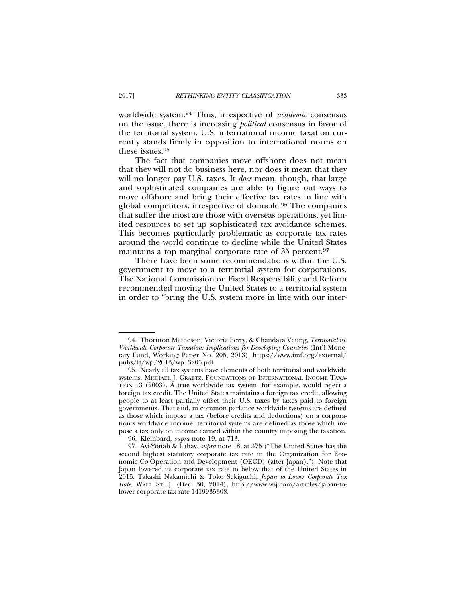worldwide system.94 Thus, irrespective of *academic* consensus on the issue, there is increasing *political* consensus in favor of the territorial system. U.S. international income taxation currently stands firmly in opposition to international norms on these issues.95

The fact that companies move offshore does not mean that they will not do business here, nor does it mean that they will no longer pay U.S. taxes. It *does* mean, though, that large and sophisticated companies are able to figure out ways to move offshore and bring their effective tax rates in line with global competitors, irrespective of domicile.96 The companies that suffer the most are those with overseas operations, yet limited resources to set up sophisticated tax avoidance schemes. This becomes particularly problematic as corporate tax rates around the world continue to decline while the United States maintains a top marginal corporate rate of 35 percent.97

There have been some recommendations within the U.S. government to move to a territorial system for corporations. The National Commission on Fiscal Responsibility and Reform recommended moving the United States to a territorial system in order to "bring the U.S. system more in line with our inter-

<sup>94.</sup> Thornton Matheson, Victoria Perry, & Chandara Veung, *Territorial vs. Worldwide Corporate Taxation: Implications for Developing Countries* (Int'l Monetary Fund, Working Paper No. 205, 2013), https://www.imf.org/external/ pubs/ft/wp/2013/wp13205.pdf.

<sup>95.</sup> Nearly all tax systems have elements of both territorial and worldwide systems. MICHAEL J. GRAETZ, FOUNDATIONS OF INTERNATIONAL INCOME TAXA-TION 13 (2003). A true worldwide tax system, for example, would reject a foreign tax credit. The United States maintains a foreign tax credit, allowing people to at least partially offset their U.S. taxes by taxes paid to foreign governments. That said, in common parlance worldwide systems are defined as those which impose a tax (before credits and deductions) on a corporation's worldwide income; territorial systems are defined as those which impose a tax only on income earned within the country imposing the taxation.

<sup>96.</sup> Kleinbard, *supra* note 19, at 713.

<sup>97.</sup> Avi-Yonah & Lahav, *supra* note 18, at 375 ("The United States has the second highest statutory corporate tax rate in the Organization for Economic Co-Operation and Development (OECD) (after Japan)."). Note that Japan lowered its corporate tax rate to below that of the United States in 2015. Takashi Nakamichi & Toko Sekiguchi, *Japan to Lower Corporate Tax Rate*, WALL ST. J. (Dec. 30, 2014), http://www.wsj.com/articles/japan-tolower-corporate-tax-rate-1419935308.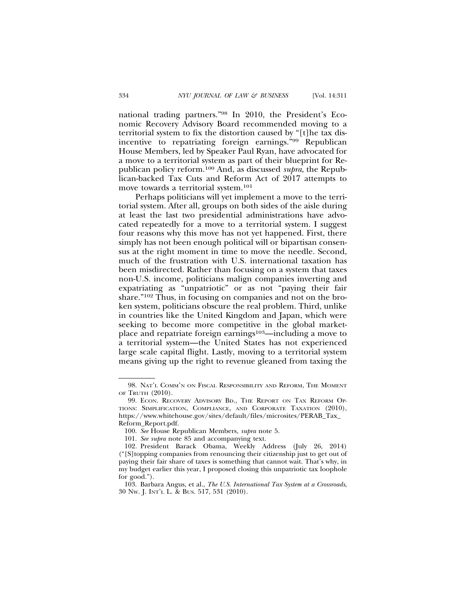national trading partners."98 In 2010, the President's Economic Recovery Advisory Board recommended moving to a territorial system to fix the distortion caused by "[t]he tax disincentive to repatriating foreign earnings."99 Republican House Members, led by Speaker Paul Ryan, have advocated for a move to a territorial system as part of their blueprint for Republican policy reform.100 And, as discussed *supra*, the Republican-backed Tax Cuts and Reform Act of 2017 attempts to move towards a territorial system.101

Perhaps politicians will yet implement a move to the territorial system. After all, groups on both sides of the aisle during at least the last two presidential administrations have advocated repeatedly for a move to a territorial system. I suggest four reasons why this move has not yet happened. First, there simply has not been enough political will or bipartisan consensus at the right moment in time to move the needle. Second, much of the frustration with U.S. international taxation has been misdirected. Rather than focusing on a system that taxes non-U.S. income, politicians malign companies inverting and expatriating as "unpatriotic" or as not "paying their fair share."102 Thus, in focusing on companies and not on the broken system, politicians obscure the real problem. Third, unlike in countries like the United Kingdom and Japan, which were seeking to become more competitive in the global marketplace and repatriate foreign earnings<sup>103</sup>—including a move to a territorial system—the United States has not experienced large scale capital flight. Lastly, moving to a territorial system means giving up the right to revenue gleaned from taxing the

<sup>98.</sup> NAT'L COMM'N ON FISCAL RESPONSIBILITY AND REFORM, THE MOMENT OF TRUTH (2010).

<sup>99.</sup> ECON. RECOVERY ADVISORY BD., THE REPORT ON TAX REFORM OP-TIONS: SIMPLIFICATION, COMPLIANCE, AND CORPORATE TAXATION (2010), https://www.whitehouse.gov/sites/default/files/microsites/PERAB\_Tax\_ Reform\_Report.pdf.

<sup>100.</sup> *See* House Republican Members, *supra* note 5.

<sup>101.</sup> *See supra* note 85 and accompanying text.

<sup>102.</sup> President Barack Obama, Weekly Address (July 26, 2014) ("[S]topping companies from renouncing their citizenship just to get out of paying their fair share of taxes is something that cannot wait. That's why, in my budget earlier this year, I proposed closing this unpatriotic tax loophole for good.").

<sup>103.</sup> Barbara Angus, et al., *The U.S. International Tax System at a Crossroads*, 30 NW. J. INT'L L. & BUS. 517, 531 (2010).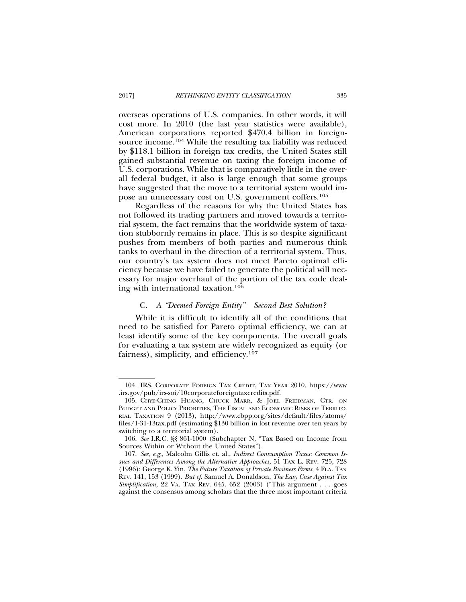overseas operations of U.S. companies. In other words, it will cost more. In 2010 (the last year statistics were available), American corporations reported \$470.4 billion in foreignsource income.104 While the resulting tax liability was reduced by \$118.1 billion in foreign tax credits, the United States still gained substantial revenue on taxing the foreign income of U.S. corporations. While that is comparatively little in the overall federal budget, it also is large enough that some groups have suggested that the move to a territorial system would impose an unnecessary cost on U.S. government coffers.105

Regardless of the reasons for why the United States has not followed its trading partners and moved towards a territorial system, the fact remains that the worldwide system of taxation stubbornly remains in place. This is so despite significant pushes from members of both parties and numerous think tanks to overhaul in the direction of a territorial system. Thus, our country's tax system does not meet Pareto optimal efficiency because we have failed to generate the political will necessary for major overhaul of the portion of the tax code dealing with international taxation.106

#### C. *A "Deemed Foreign Entity"—Second Best Solution?*

While it is difficult to identify all of the conditions that need to be satisfied for Pareto optimal efficiency, we can at least identify some of the key components. The overall goals for evaluating a tax system are widely recognized as equity (or fairness), simplicity, and efficiency.107

<sup>104.</sup> IRS, CORPORATE FOREIGN TAX CREDIT, TAX YEAR 2010, https://www .irs.gov/pub/irs-soi/10corporateforeigntaxcredits.pdf.

<sup>105.</sup> CHYE-CHING HUANG, CHUCK MARR, & JOEL FRIEDMAN, CTR. ON BUDGET AND POLICY PRIORITIES, THE FISCAL AND ECONOMIC RISKS OF TERRITO-RIAL TAXATION 9 (2013), http://www.cbpp.org/sites/default/files/atoms/ files/1-31-13tax.pdf (estimating \$130 billion in lost revenue over ten years by switching to a territorial system).

<sup>106.</sup> *See* I.R.C. §§ 861-1000 (Subchapter N, "Tax Based on Income from Sources Within or Without the United States").

<sup>107.</sup> *See, e.g.*, Malcolm Gillis et. al., *Indirect Consumption Taxes: Common Issues and Differences Among the Alternative Approaches*, 51 TAX L. REV. 725, 728 (1996); George K. Yin, *The Future Taxation of Private Business Firms*, 4 FLA. TAX REV. 141, 153 (1999). *But cf.* Samuel A. Donaldson, *The Easy Case Against Tax Simplification*, 22 VA. TAX REV. 645, 652 (2003) ("This argument . . . goes against the consensus among scholars that the three most important criteria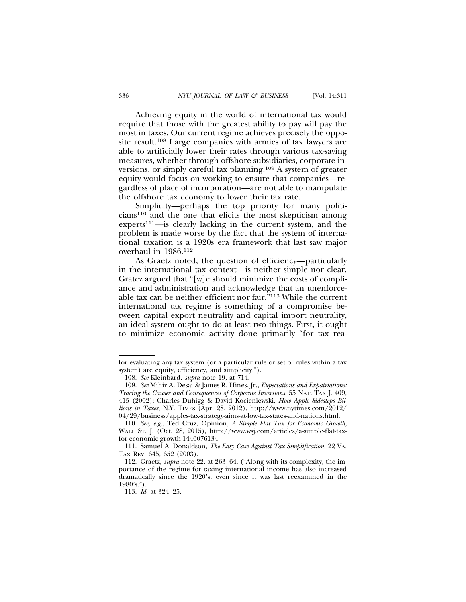Achieving equity in the world of international tax would require that those with the greatest ability to pay will pay the most in taxes. Our current regime achieves precisely the opposite result.108 Large companies with armies of tax lawyers are able to artificially lower their rates through various tax-saving measures, whether through offshore subsidiaries, corporate inversions, or simply careful tax planning.109 A system of greater equity would focus on working to ensure that companies—regardless of place of incorporation—are not able to manipulate the offshore tax economy to lower their tax rate.

Simplicity—perhaps the top priority for many politicians110 and the one that elicits the most skepticism among experts<sup>111</sup>—is clearly lacking in the current system, and the problem is made worse by the fact that the system of international taxation is a 1920s era framework that last saw major overhaul in 1986.112

As Graetz noted, the question of efficiency—particularly in the international tax context—is neither simple nor clear. Gratez argued that "[w]e should minimize the costs of compliance and administration and acknowledge that an unenforceable tax can be neither efficient nor fair."113 While the current international tax regime is something of a compromise between capital export neutrality and capital import neutrality, an ideal system ought to do at least two things. First, it ought to minimize economic activity done primarily "for tax rea-

for evaluating any tax system (or a particular rule or set of rules within a tax system) are equity, efficiency, and simplicity.").

<sup>108.</sup> *See* Kleinbard, *supra* note 19, at 714.

<sup>109.</sup> *See* Mihir A. Desai & James R. Hines, Jr., *Expectations and Expatriations: Tracing the Causes and Consequences of Corporate Inversions*, 55 NAT. TAX J. 409, 415 (2002); Charles Duhigg & David Kocieniewski, *How Apple Sidesteps Billions in Taxes*, N.Y. TIMES (Apr. 28, 2012), http://www.nytimes.com/2012/ 04/29/business/apples-tax-strategy-aims-at-low-tax-states-and-nations.html.

<sup>110.</sup> *See, e.g.*, Ted Cruz, Opinion, *A Simple Flat Tax for Economic Growth*, WALL ST. J. (Oct. 28, 2015), http://www.wsj.com/articles/a-simple-flat-taxfor-economic-growth-1446076134.

<sup>111.</sup> Samuel A. Donaldson, *The Easy Case Against Tax Simplification*, 22 VA. TAX REV. 645, 652 (2003).

<sup>112.</sup> Graetz, *supra* note 22, at 263–64. ("Along with its complexity, the importance of the regime for taxing international income has also increased dramatically since the 1920's, even since it was last reexamined in the  $1980's.'$ .

<sup>113.</sup> *Id.* at 324–25.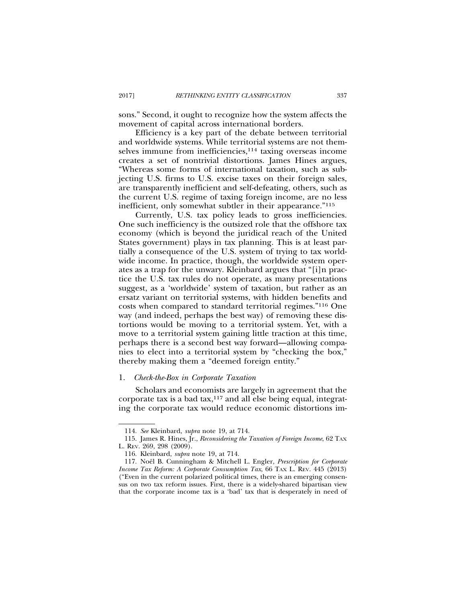sons." Second, it ought to recognize how the system affects the movement of capital across international borders.

Efficiency is a key part of the debate between territorial and worldwide systems. While territorial systems are not themselves immune from inefficiencies,<sup>114</sup> taxing overseas income creates a set of nontrivial distortions. James Hines argues, "Whereas some forms of international taxation, such as subjecting U.S. firms to U.S. excise taxes on their foreign sales, are transparently inefficient and self-defeating, others, such as the current U.S. regime of taxing foreign income, are no less inefficient, only somewhat subtler in their appearance."115

Currently, U.S. tax policy leads to gross inefficiencies. One such inefficiency is the outsized role that the offshore tax economy (which is beyond the juridical reach of the United States government) plays in tax planning. This is at least partially a consequence of the U.S. system of trying to tax worldwide income. In practice, though, the worldwide system operates as a trap for the unwary. Kleinbard argues that "[i]n practice the U.S. tax rules do not operate, as many presentations suggest, as a 'worldwide' system of taxation, but rather as an ersatz variant on territorial systems, with hidden benefits and costs when compared to standard territorial regimes."116 One way (and indeed, perhaps the best way) of removing these distortions would be moving to a territorial system. Yet, with a move to a territorial system gaining little traction at this time, perhaps there is a second best way forward—allowing companies to elect into a territorial system by "checking the box," thereby making them a "deemed foreign entity."

#### 1. *Check-the-Box in Corporate Taxation*

Scholars and economists are largely in agreement that the corporate tax is a bad tax, $117$  and all else being equal, integrating the corporate tax would reduce economic distortions im-

<sup>114.</sup> *See* Kleinbard, *supra* note 19, at 714.

<sup>115.</sup> James R. Hines, Jr., *Reconsidering the Taxation of Foreign Income*, 62 TAX L. REV. 269, 298 (2009).

<sup>116.</sup> Kleinbard, *supra* note 19, at 714.

<sup>117.</sup> Noël B. Cunningham & Mitchell L. Engler, *Prescription for Corporate Income Tax Reform: A Corporate Consumption Tax, 66 TAX L. REV. 445 (2013)* ("Even in the current polarized political times, there is an emerging consensus on two tax reform issues. First, there is a widely-shared bipartisan view that the corporate income tax is a 'bad' tax that is desperately in need of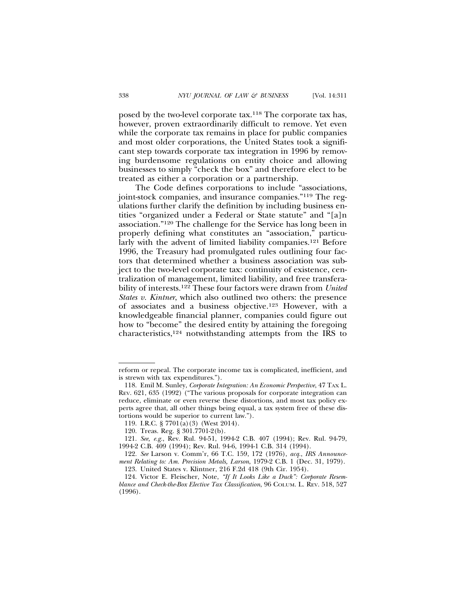posed by the two-level corporate tax.118 The corporate tax has, however, proven extraordinarily difficult to remove. Yet even while the corporate tax remains in place for public companies and most older corporations, the United States took a significant step towards corporate tax integration in 1996 by removing burdensome regulations on entity choice and allowing businesses to simply "check the box" and therefore elect to be treated as either a corporation or a partnership.

The Code defines corporations to include "associations, joint-stock companies, and insurance companies."119 The regulations further clarify the definition by including business entities "organized under a Federal or State statute" and "[a]n association."120 The challenge for the Service has long been in properly defining what constitutes an "association," particularly with the advent of limited liability companies.121 Before 1996, the Treasury had promulgated rules outlining four factors that determined whether a business association was subject to the two-level corporate tax: continuity of existence, centralization of management, limited liability, and free transferability of interests.122 These four factors were drawn from *United States v. Kintner*, which also outlined two others: the presence of associates and a business objective.123 However, with a knowledgeable financial planner, companies could figure out how to "become" the desired entity by attaining the foregoing characteristics,124 notwithstanding attempts from the IRS to

reform or repeal. The corporate income tax is complicated, inefficient, and is strewn with tax expenditures.").

<sup>118.</sup> Emil M. Sunley, *Corporate Integration: An Economic Perspective*, 47 TAX L. REV. 621, 635 (1992) ("The various proposals for corporate integration can reduce, eliminate or even reverse these distortions, and most tax policy experts agree that, all other things being equal, a tax system free of these distortions would be superior to current law.").

<sup>119.</sup> I.R.C. § 7701(a)(3) (West 2014).

<sup>120.</sup> Treas. Reg. § 301.7701-2(b).

<sup>121.</sup> *See, e.g.*, Rev. Rul. 94-51, 1994-2 C.B. 407 (1994); Rev. Rul. 94-79, 1994-2 C.B. 409 (1994); Rev. Rul. 94-6, 1994-1 C.B. 314 (1994).

<sup>122.</sup> *See* Larson v. Comm'r, 66 T.C. 159, 172 (1976), *acq.*, *IRS Announcement Relating to: Am. Precision Metals, Larson*, 1979-2 C.B. 1 (Dec. 31, 1979).

<sup>123.</sup> United States v. Klintner, 216 F.2d 418 (9th Cir. 1954).

<sup>124.</sup> Victor E. Fleischer, Note, *"If It Looks Like a Duck": Corporate Resemblance and Check-the-Box Elective Tax Classification*, 96 COLUM. L. REV. 518, 527 (1996).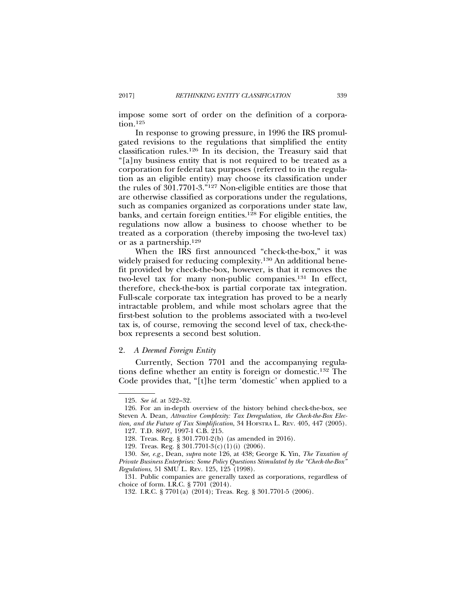impose some sort of order on the definition of a corporation.<sup>125</sup>

In response to growing pressure, in 1996 the IRS promulgated revisions to the regulations that simplified the entity classification rules.126 In its decision, the Treasury said that "[a]ny business entity that is not required to be treated as a corporation for federal tax purposes (referred to in the regulation as an eligible entity) may choose its classification under the rules of 301.7701-3."127 Non-eligible entities are those that are otherwise classified as corporations under the regulations, such as companies organized as corporations under state law, banks, and certain foreign entities.128 For eligible entities, the regulations now allow a business to choose whether to be treated as a corporation (thereby imposing the two-level tax) or as a partnership.129

When the IRS first announced "check-the-box," it was widely praised for reducing complexity.<sup>130</sup> An additional benefit provided by check-the-box, however, is that it removes the two-level tax for many non-public companies.131 In effect, therefore, check-the-box is partial corporate tax integration. Full-scale corporate tax integration has proved to be a nearly intractable problem, and while most scholars agree that the first-best solution to the problems associated with a two-level tax is, of course, removing the second level of tax, check-thebox represents a second best solution.

#### 2. *A Deemed Foreign Entity*

Currently, Section 7701 and the accompanying regulations define whether an entity is foreign or domestic.132 The Code provides that, "[t]he term 'domestic' when applied to a

<sup>125.</sup> *See id.* at 522–32.

<sup>126.</sup> For an in-depth overview of the history behind check-the-box, see Steven A. Dean, *Attractive Complexity: Tax Deregulation, the Check-the-Box Election, and the Future of Tax Simplification*, 34 HOFSTRA L. REV. 405, 447 (2005).

<sup>127.</sup> T.D. 8697, 1997-1 C.B. 215.

<sup>128.</sup> Treas. Reg. § 301.7701-2(b) (as amended in 2016).

<sup>129.</sup> Treas. Reg. § 301.7701-3(c)(1)(i) (2006).

<sup>130.</sup> *See, e.g.*, Dean, *supra* note 126, at 438; George K. Yin, *The Taxation of Private Business Enterprises: Some Policy Questions Stimulated by the "Check-the-Box" Regulations*, 51 SMU L. REV. 125, 125 (1998).

<sup>131.</sup> Public companies are generally taxed as corporations, regardless of choice of form. I.R.C. § 7701 (2014).

<sup>132.</sup> I.R.C. § 7701(a) (2014); Treas. Reg. § 301.7701-5 (2006).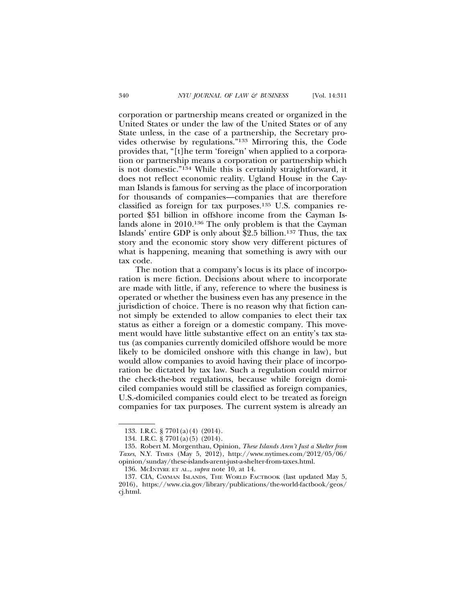corporation or partnership means created or organized in the United States or under the law of the United States or of any State unless, in the case of a partnership, the Secretary provides otherwise by regulations."133 Mirroring this, the Code provides that, "[t]he term 'foreign' when applied to a corporation or partnership means a corporation or partnership which is not domestic."134 While this is certainly straightforward, it does not reflect economic reality. Ugland House in the Cayman Islands is famous for serving as the place of incorporation for thousands of companies—companies that are therefore classified as foreign for tax purposes.135 U.S. companies reported \$51 billion in offshore income from the Cayman Islands alone in 2010.136 The only problem is that the Cayman Islands' entire GDP is only about \$2.5 billion.137 Thus, the tax story and the economic story show very different pictures of what is happening, meaning that something is awry with our tax code.

The notion that a company's locus is its place of incorporation is mere fiction. Decisions about where to incorporate are made with little, if any, reference to where the business is operated or whether the business even has any presence in the jurisdiction of choice. There is no reason why that fiction cannot simply be extended to allow companies to elect their tax status as either a foreign or a domestic company. This movement would have little substantive effect on an entity's tax status (as companies currently domiciled offshore would be more likely to be domiciled onshore with this change in law), but would allow companies to avoid having their place of incorporation be dictated by tax law. Such a regulation could mirror the check-the-box regulations, because while foreign domiciled companies would still be classified as foreign companies, U.S.-domiciled companies could elect to be treated as foreign companies for tax purposes. The current system is already an

<sup>133.</sup> I.R.C. § 7701(a)(4) (2014).

<sup>134.</sup> I.R.C. § 7701(a)(5) (2014).

<sup>135.</sup> Robert M. Morgenthau, Opinion, *These Islands Aren't Just a Shelter from Taxes*, N.Y. TIMES (May 5, 2012), http://www.nytimes.com/2012/05/06/ opinion/sunday/these-islands-arent-just-a-shelter-from-taxes.html.

<sup>136.</sup> MCINTYRE ET AL., *supra* note 10, at 14.

<sup>137.</sup> CIA, CAYMAN ISLANDS, THE WORLD FACTBOOK (last updated May 5, 2016), https://www.cia.gov/library/publications/the-world-factbook/geos/ cj.html.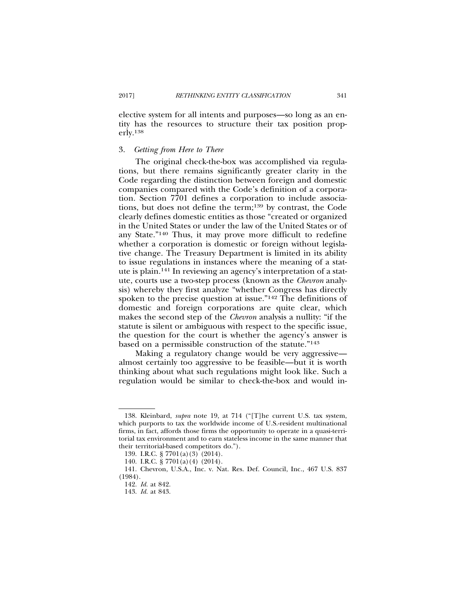elective system for all intents and purposes—so long as an entity has the resources to structure their tax position properly.138

## 3. *Getting from Here to There*

The original check-the-box was accomplished via regulations, but there remains significantly greater clarity in the Code regarding the distinction between foreign and domestic companies compared with the Code's definition of a corporation. Section 7701 defines a corporation to include associations, but does not define the term;139 by contrast, the Code clearly defines domestic entities as those "created or organized in the United States or under the law of the United States or of any State."140 Thus, it may prove more difficult to redefine whether a corporation is domestic or foreign without legislative change. The Treasury Department is limited in its ability to issue regulations in instances where the meaning of a statute is plain.141 In reviewing an agency's interpretation of a statute, courts use a two-step process (known as the *Chevron* analysis) whereby they first analyze "whether Congress has directly spoken to the precise question at issue."142 The definitions of domestic and foreign corporations are quite clear, which makes the second step of the *Chevron* analysis a nullity: "if the statute is silent or ambiguous with respect to the specific issue, the question for the court is whether the agency's answer is based on a permissible construction of the statute."143

Making a regulatory change would be very aggressive almost certainly too aggressive to be feasible—but it is worth thinking about what such regulations might look like. Such a regulation would be similar to check-the-box and would in-

<sup>138.</sup> Kleinbard, *supra* note 19, at 714 ("[T]he current U.S. tax system, which purports to tax the worldwide income of U.S.-resident multinational firms, in fact, affords those firms the opportunity to operate in a quasi-territorial tax environment and to earn stateless income in the same manner that their territorial-based competitors do.").

<sup>139.</sup> I.R.C. § 7701(a)(3) (2014).

<sup>140.</sup> I.R.C. § 7701(a)(4) (2014).

<sup>141.</sup> Chevron, U.S.A., Inc. v. Nat. Res. Def. Council, Inc., 467 U.S. 837 (1984).

<sup>142.</sup> *Id.* at 842.

<sup>143.</sup> *Id.* at 843.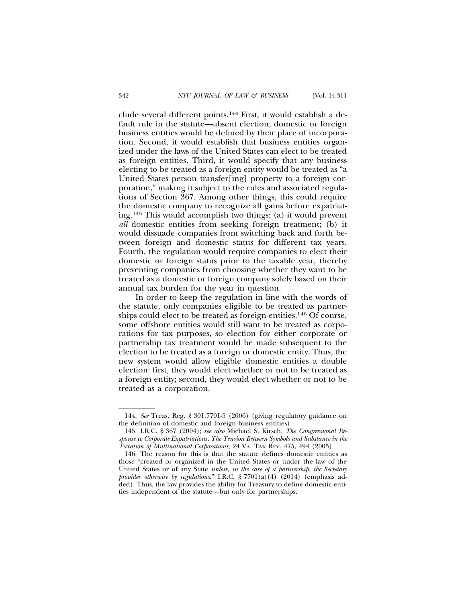clude several different points.144 First, it would establish a default rule in the statute—absent election, domestic or foreign business entities would be defined by their place of incorporation. Second, it would establish that business entities organized under the laws of the United States can elect to be treated as foreign entities. Third, it would specify that any business electing to be treated as a foreign entity would be treated as "a United States person transfer[ing] property to a foreign corporation," making it subject to the rules and associated regulations of Section 367. Among other things, this could require the domestic company to recognize all gains before expatriating.145 This would accomplish two things: (a) it would prevent *all* domestic entities from seeking foreign treatment; (b) it would dissuade companies from switching back and forth between foreign and domestic status for different tax years. Fourth, the regulation would require companies to elect their domestic or foreign status prior to the taxable year, thereby preventing companies from choosing whether they want to be treated as a domestic or foreign company solely based on their annual tax burden for the year in question.

In order to keep the regulation in line with the words of the statute, only companies eligible to be treated as partnerships could elect to be treated as foreign entities.146 Of course, some offshore entities would still want to be treated as corporations for tax purposes, so election for either corporate or partnership tax treatment would be made subsequent to the election to be treated as a foreign or domestic entity. Thus, the new system would allow eligible domestic entities a double election: first, they would elect whether or not to be treated as a foreign entity; second, they would elect whether or not to be treated as a corporation.

<sup>144.</sup> *See* Treas. Reg. § 301.7701-5 (2006) (giving regulatory guidance on the definition of domestic and foreign business entities).

<sup>145.</sup> I.R.C. § 367 (2004); *see also* Michael S. Kirsch, *The Congressional Response to Corporate Expatriations: The Tension Between Symbols and Substance in the Taxation of Multinational Corporations*, 24 VA. TAX REV. 475, 494 (2005).

<sup>146.</sup> The reason for this is that the statute defines domestic entities as those "created or organized in the United States or under the law of the United States or of any State *unless, in the case of a partnership, the Secretary provides otherwise by regulations*." I.R.C. § 7701(a)(4) (2014) (emphasis added). Thus, the law provides the ability for Treasury to define domestic entities independent of the statute—but only for partnerships.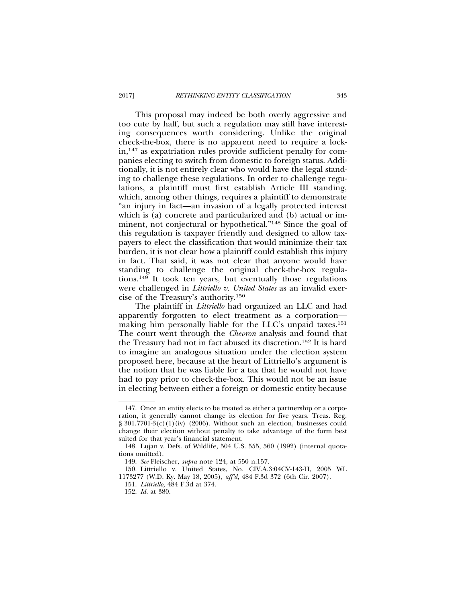This proposal may indeed be both overly aggressive and too cute by half, but such a regulation may still have interesting consequences worth considering. Unlike the original check-the-box, there is no apparent need to require a lockin,147 as expatriation rules provide sufficient penalty for companies electing to switch from domestic to foreign status. Additionally, it is not entirely clear who would have the legal standing to challenge these regulations. In order to challenge regulations, a plaintiff must first establish Article III standing, which, among other things, requires a plaintiff to demonstrate "an injury in fact—an invasion of a legally protected interest which is (a) concrete and particularized and (b) actual or imminent, not conjectural or hypothetical."148 Since the goal of this regulation is taxpayer friendly and designed to allow taxpayers to elect the classification that would minimize their tax burden, it is not clear how a plaintiff could establish this injury in fact. That said, it was not clear that anyone would have standing to challenge the original check-the-box regulations.149 It took ten years, but eventually those regulations were challenged in *Littriello v. United States* as an invalid exercise of the Treasury's authority.150

The plaintiff in *Littriello* had organized an LLC and had apparently forgotten to elect treatment as a corporation making him personally liable for the LLC's unpaid taxes.<sup>151</sup> The court went through the *Chevron* analysis and found that the Treasury had not in fact abused its discretion.152 It is hard to imagine an analogous situation under the election system proposed here, because at the heart of Littriello's argument is the notion that he was liable for a tax that he would not have had to pay prior to check-the-box. This would not be an issue in electing between either a foreign or domestic entity because

<sup>147.</sup> Once an entity elects to be treated as either a partnership or a corporation, it generally cannot change its election for five years. Treas. Reg.  $\S 301.7701-3(c)(1)(iv)$  (2006). Without such an election, businesses could change their election without penalty to take advantage of the form best suited for that year's financial statement.

<sup>148.</sup> Lujan v. Defs. of Wildlife, 504 U.S. 555, 560 (1992) (internal quotations omitted).

<sup>149.</sup> *See* Fleischer, *supra* note 124, at 550 n.157.

<sup>150.</sup> Littriello v. United States, No. CIV.A.3:04CV-143-H, 2005 WL 1173277 (W.D. Ky. May 18, 2005), *aff'd,* 484 F.3d 372 (6th Cir. 2007).

<sup>151.</sup> *Littriello*, 484 F.3d at 374.

<sup>152.</sup> *Id.* at 380.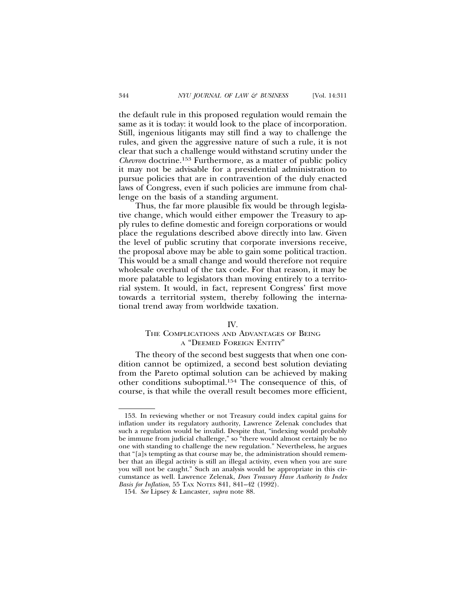the default rule in this proposed regulation would remain the same as it is today: it would look to the place of incorporation. Still, ingenious litigants may still find a way to challenge the rules, and given the aggressive nature of such a rule, it is not clear that such a challenge would withstand scrutiny under the *Chevron* doctrine.153 Furthermore, as a matter of public policy it may not be advisable for a presidential administration to pursue policies that are in contravention of the duly enacted laws of Congress, even if such policies are immune from challenge on the basis of a standing argument.

Thus, the far more plausible fix would be through legislative change, which would either empower the Treasury to apply rules to define domestic and foreign corporations or would place the regulations described above directly into law. Given the level of public scrutiny that corporate inversions receive, the proposal above may be able to gain some political traction. This would be a small change and would therefore not require wholesale overhaul of the tax code. For that reason, it may be more palatable to legislators than moving entirely to a territorial system. It would, in fact, represent Congress' first move towards a territorial system, thereby following the international trend away from worldwide taxation.

#### IV.

# THE COMPLICATIONS AND ADVANTAGES OF BEING A "DEEMED FOREIGN ENTITY"

The theory of the second best suggests that when one condition cannot be optimized, a second best solution deviating from the Pareto optimal solution can be achieved by making other conditions suboptimal.154 The consequence of this, of course, is that while the overall result becomes more efficient,

<sup>153.</sup> In reviewing whether or not Treasury could index capital gains for inflation under its regulatory authority, Lawrence Zelenak concludes that such a regulation would be invalid. Despite that, "indexing would probably be immune from judicial challenge," so "there would almost certainly be no one with standing to challenge the new regulation." Nevertheless, he argues that "[a]s tempting as that course may be, the administration should remember that an illegal activity is still an illegal activity, even when you are sure you will not be caught." Such an analysis would be appropriate in this circumstance as well. Lawrence Zelenak, *Does Treasury Have Authority to Index Basis for Inflation*, 55 TAX NOTES 841, 841–42 (1992).

<sup>154.</sup> *See* Lipsey & Lancaster, *supra* note 88.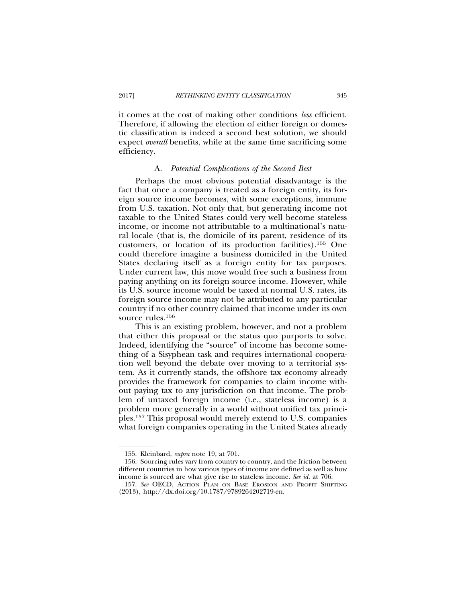it comes at the cost of making other conditions *less* efficient. Therefore, if allowing the election of either foreign or domestic classification is indeed a second best solution, we should expect *overall* benefits, while at the same time sacrificing some efficiency.

#### A. *Potential Complications of the Second Best*

Perhaps the most obvious potential disadvantage is the fact that once a company is treated as a foreign entity, its foreign source income becomes, with some exceptions, immune from U.S. taxation. Not only that, but generating income not taxable to the United States could very well become stateless income, or income not attributable to a multinational's natural locale (that is, the domicile of its parent, residence of its customers, or location of its production facilities).155 One could therefore imagine a business domiciled in the United States declaring itself as a foreign entity for tax purposes. Under current law, this move would free such a business from paying anything on its foreign source income. However, while its U.S. source income would be taxed at normal U.S. rates, its foreign source income may not be attributed to any particular country if no other country claimed that income under its own source rules.<sup>156</sup>

This is an existing problem, however, and not a problem that either this proposal or the status quo purports to solve. Indeed, identifying the "source" of income has become something of a Sisyphean task and requires international cooperation well beyond the debate over moving to a territorial system. As it currently stands, the offshore tax economy already provides the framework for companies to claim income without paying tax to any jurisdiction on that income. The problem of untaxed foreign income (i.e., stateless income) is a problem more generally in a world without unified tax principles.157 This proposal would merely extend to U.S. companies what foreign companies operating in the United States already

<sup>155.</sup> Kleinbard, *supra* note 19, at 701.

<sup>156.</sup> Sourcing rules vary from country to country, and the friction between different countries in how various types of income are defined as well as how income is sourced are what give rise to stateless income. *See id.* at 706.

<sup>157.</sup> *See* OECD, ACTION PLAN ON BASE EROSION AND PROFIT SHIFTING (2013), http://dx.doi.org/10.1787/9789264202719-en.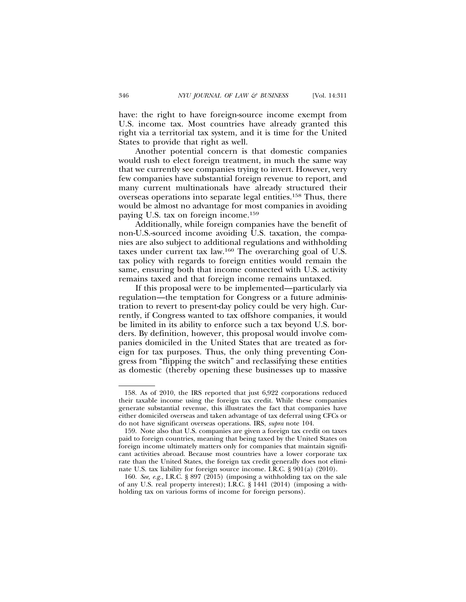have: the right to have foreign-source income exempt from U.S. income tax. Most countries have already granted this right via a territorial tax system, and it is time for the United States to provide that right as well.

Another potential concern is that domestic companies would rush to elect foreign treatment, in much the same way that we currently see companies trying to invert. However, very few companies have substantial foreign revenue to report, and many current multinationals have already structured their overseas operations into separate legal entities.158 Thus, there would be almost no advantage for most companies in avoiding paying U.S. tax on foreign income.159

Additionally, while foreign companies have the benefit of non-U.S.-sourced income avoiding U.S. taxation, the companies are also subject to additional regulations and withholding taxes under current tax law.160 The overarching goal of U.S. tax policy with regards to foreign entities would remain the same, ensuring both that income connected with U.S. activity remains taxed and that foreign income remains untaxed.

If this proposal were to be implemented—particularly via regulation—the temptation for Congress or a future administration to revert to present-day policy could be very high. Currently, if Congress wanted to tax offshore companies, it would be limited in its ability to enforce such a tax beyond U.S. borders. By definition, however, this proposal would involve companies domiciled in the United States that are treated as foreign for tax purposes. Thus, the only thing preventing Congress from "flipping the switch" and reclassifying these entities as domestic (thereby opening these businesses up to massive

<sup>158.</sup> As of 2010, the IRS reported that just 6,922 corporations reduced their taxable income using the foreign tax credit. While these companies generate substantial revenue, this illustrates the fact that companies have either domiciled overseas and taken advantage of tax deferral using CFCs or do not have significant overseas operations. IRS, *supra* note 104.

<sup>159.</sup> Note also that U.S. companies are given a foreign tax credit on taxes paid to foreign countries, meaning that being taxed by the United States on foreign income ultimately matters only for companies that maintain significant activities abroad. Because most countries have a lower corporate tax rate than the United States, the foreign tax credit generally does not eliminate U.S. tax liability for foreign source income. I.R.C. § 901(a) (2010).

<sup>160.</sup> *See, e.g.*, I.R.C. § 897 (2015) (imposing a withholding tax on the sale of any U.S. real property interest); I.R.C. § 1441 (2014) (imposing a withholding tax on various forms of income for foreign persons).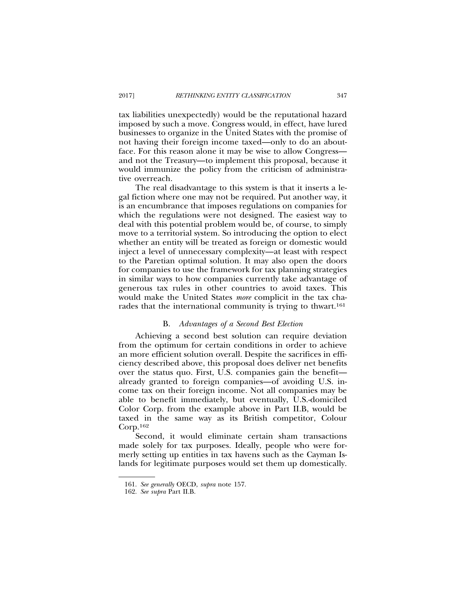tax liabilities unexpectedly) would be the reputational hazard imposed by such a move. Congress would, in effect, have lured businesses to organize in the United States with the promise of not having their foreign income taxed—only to do an aboutface. For this reason alone it may be wise to allow Congress and not the Treasury—to implement this proposal, because it would immunize the policy from the criticism of administrative overreach.

The real disadvantage to this system is that it inserts a legal fiction where one may not be required. Put another way, it is an encumbrance that imposes regulations on companies for which the regulations were not designed. The easiest way to deal with this potential problem would be, of course, to simply move to a territorial system. So introducing the option to elect whether an entity will be treated as foreign or domestic would inject a level of unnecessary complexity—at least with respect to the Paretian optimal solution. It may also open the doors for companies to use the framework for tax planning strategies in similar ways to how companies currently take advantage of generous tax rules in other countries to avoid taxes. This would make the United States *more* complicit in the tax charades that the international community is trying to thwart.<sup>161</sup>

#### B. *Advantages of a Second Best Election*

Achieving a second best solution can require deviation from the optimum for certain conditions in order to achieve an more efficient solution overall. Despite the sacrifices in efficiency described above, this proposal does deliver net benefits over the status quo. First, U.S. companies gain the benefit already granted to foreign companies—of avoiding U.S. income tax on their foreign income. Not all companies may be able to benefit immediately, but eventually, U.S.-domiciled Color Corp. from the example above in Part II.B, would be taxed in the same way as its British competitor, Colour  $Corp.<sup>162</sup>$ 

Second, it would eliminate certain sham transactions made solely for tax purposes. Ideally, people who were formerly setting up entities in tax havens such as the Cayman Islands for legitimate purposes would set them up domestically.

<sup>161.</sup> *See generally* OECD, *supra* note 157.

<sup>162.</sup> *See supra* Part II.B.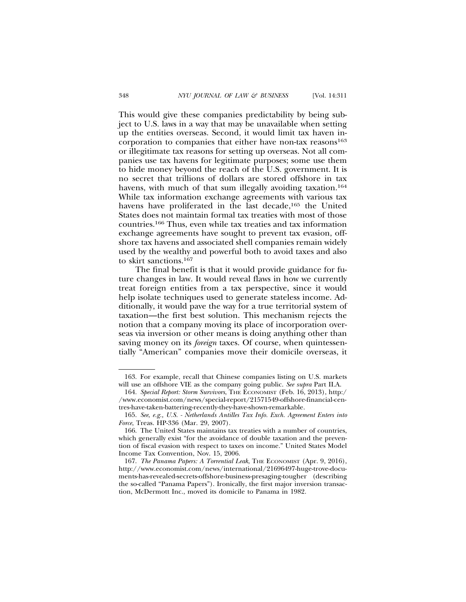This would give these companies predictability by being subject to U.S. laws in a way that may be unavailable when setting up the entities overseas. Second, it would limit tax haven incorporation to companies that either have non-tax reasons<sup>163</sup> or illegitimate tax reasons for setting up overseas. Not all companies use tax havens for legitimate purposes; some use them to hide money beyond the reach of the U.S. government. It is no secret that trillions of dollars are stored offshore in tax havens, with much of that sum illegally avoiding taxation.<sup>164</sup> While tax information exchange agreements with various tax havens have proliferated in the last decade,<sup>165</sup> the United States does not maintain formal tax treaties with most of those countries.166 Thus, even while tax treaties and tax information exchange agreements have sought to prevent tax evasion, offshore tax havens and associated shell companies remain widely used by the wealthy and powerful both to avoid taxes and also to skirt sanctions.167

The final benefit is that it would provide guidance for future changes in law. It would reveal flaws in how we currently treat foreign entities from a tax perspective, since it would help isolate techniques used to generate stateless income. Additionally, it would pave the way for a true territorial system of taxation—the first best solution. This mechanism rejects the notion that a company moving its place of incorporation overseas via inversion or other means is doing anything other than saving money on its *foreign* taxes. Of course, when quintessentially "American" companies move their domicile overseas, it

<sup>163.</sup> For example, recall that Chinese companies listing on U.S. markets will use an offshore VIE as the company going public. *See supra* Part II.A.

<sup>164.</sup> *Special Report: Storm Survivors*, THE ECONOMIST (Feb. 16, 2013), http:/ /www.economist.com/news/special-report/21571549-offshore-financial-centres-have-taken-battering-recently-they-have-shown-remarkable.

<sup>165.</sup> *See*, *e.g., U.S. - Netherlands Antilles Tax Info. Exch. Agreement Enters into Force*, Treas. HP-336 (Mar. 29, 2007).

<sup>166.</sup> The United States maintains tax treaties with a number of countries, which generally exist "for the avoidance of double taxation and the prevention of fiscal evasion with respect to taxes on income." United States Model Income Tax Convention, Nov. 15, 2006.

<sup>167.</sup> *The Panama Papers: A Torrential Leak*, THE ECONOMIST (Apr. 9, 2016), http://www.economist.com/news/international/21696497-huge-trove-documents-has-revealed-secrets-offshore-business-presaging-tougher (describing the so-called "Panama Papers"). Ironically, the first major inversion transaction, McDermott Inc., moved its domicile to Panama in 1982.